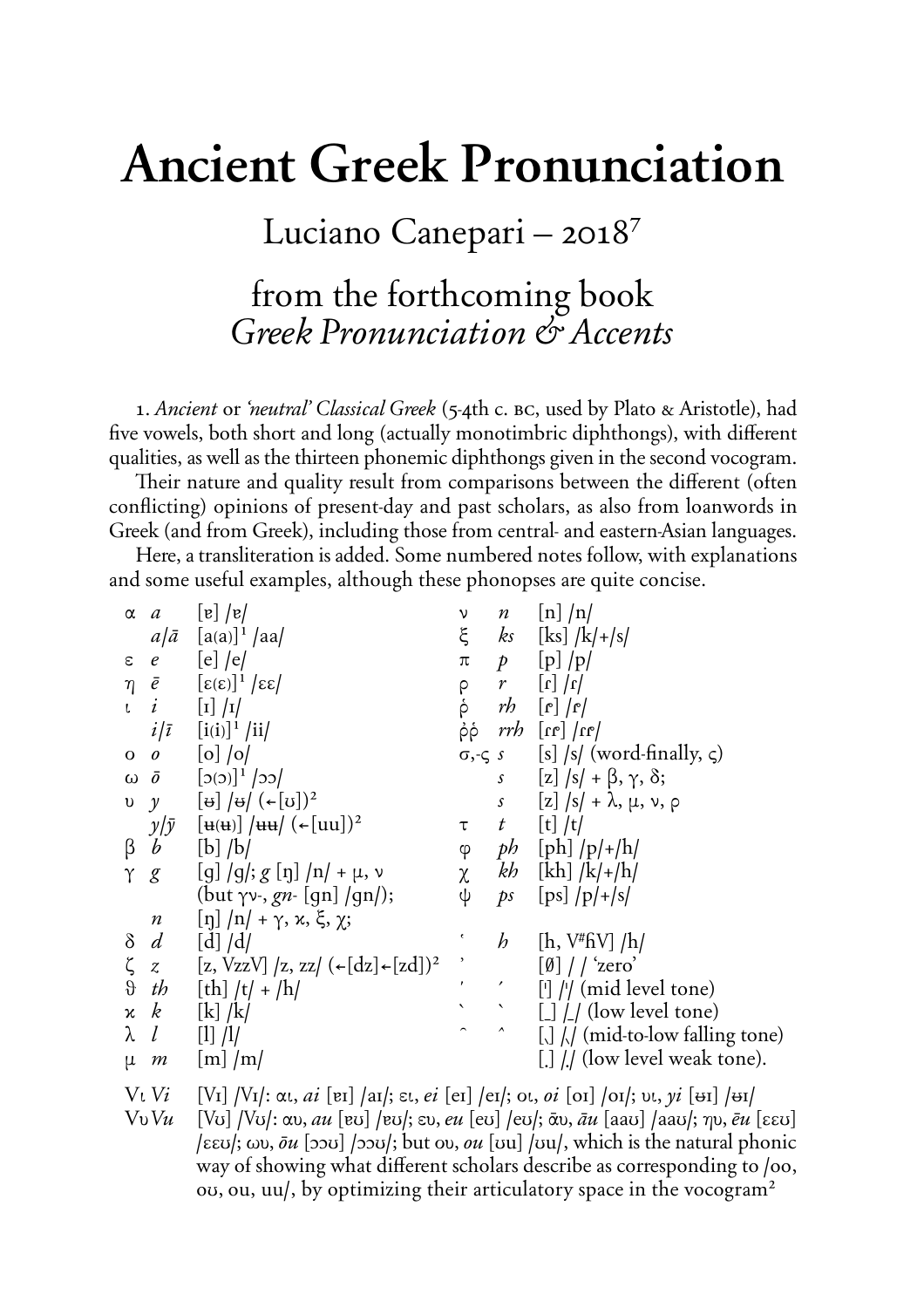## **Ancient Greek Pronunciation**

Luciano Canepari – 2018<sup>7</sup>

## from the forthcoming book *Greek Pronunciation* & *Accents*

1. Ancient or 'neutral' Classical Greek (5-4th c. BC, used by Plato & Aristotle), had five vowels, both short and long (actually monotimbric diphthongs), with different qualities, as well as the thirteen phonemic diphthongs given in the second vocogram.

Their nature and quality result from comparisons between the different (often conflicting) opinions of present-day and past scholars, as also from loanwords in Greek (and from Greek), including those from central- and eastern-Asian languages.

Here, a transliteration is added. Some numbered notes follow, with explanations and some useful examples, although these phonopses are quite concise.

| $\alpha$    | $\boldsymbol{a}$ | $\lfloor e \rfloor / e$                                                                                                                                     | ν                        |                     | $n$ [n] $/n/$                                                                                            |
|-------------|------------------|-------------------------------------------------------------------------------------------------------------------------------------------------------------|--------------------------|---------------------|----------------------------------------------------------------------------------------------------------|
|             | $a/\bar{a}$      | $[a(a)]^1$ /aa/                                                                                                                                             | $\xi$                    |                     | $ks$ [ks] $/k$ /+/s/                                                                                     |
| $\epsilon$  |                  | $e$ [e] /e/                                                                                                                                                 | $\pi$                    |                     | $p$ [p] $/p$                                                                                             |
|             |                  | $\eta$ $\bar{e}$ $[\epsilon(\epsilon)]^1$ $ \epsilon\epsilon $                                                                                              |                          |                     | $r$ [r] $ r $                                                                                            |
| $\mathsf L$ | i                | $\begin{bmatrix} 1 \end{bmatrix} / 1$                                                                                                                       | ०<br>२                   |                     | $rb$ $[r]$ $ r $                                                                                         |
|             | $i/\bar{i}$      | $[i(i)]^1$ /ii/                                                                                                                                             | ρρ                       |                     | $\vert n_1 \vert$ $\vert n_2 \vert$ $\vert$ $\vert n_3 \vert$                                            |
| $O$ 0       |                  | $\left[ \text{o} \right]$ /o/                                                                                                                               |                          |                     | $\sigma, \varsigma$ s [s] /s/ (word-finally, $\varsigma$ )                                               |
|             |                  | ω $\bar{o}$ [2(3)] <sup>1</sup> /22/                                                                                                                        |                          |                     | $s$ [z] $ s  + \beta, \gamma, \delta;$                                                                   |
|             |                  | $\begin{bmatrix} v & y & \left[\theta\right] & \theta \end{bmatrix} \begin{bmatrix} \theta & \theta \end{bmatrix} \begin{bmatrix} \theta & 0 \end{bmatrix}$ |                          |                     | $s$ [z] $\sqrt{s}$ + $\lambda$ , $\mu$ , $\nu$ , $\rho$                                                  |
|             |                  | $y/\bar{y}$ [ $\mathbf{u}(\mathbf{u})$ ] $/\mathbf{u}\mathbf{u}/(\mathbf{u}(\mathbf{u}))^2$                                                                 | $\tau$                   |                     | $t \left[t\right]/t/$                                                                                    |
| $\beta$     | $\boldsymbol{b}$ | $[b]$ /b/                                                                                                                                                   |                          |                     | $\varphi$ ph [ph] /p/+/h/                                                                                |
| $\gamma$    | $\mathcal{E}$    | $[g] / g$ ; g $[\eta] / n$ + $\mu$ , v                                                                                                                      |                          |                     | $\chi$ kh [kh] $ k + h $                                                                                 |
|             |                  | (but $\gamma v$ , gn [qn] /qn/);                                                                                                                            | ψ                        |                     | ps $[ps]/p/+ s $                                                                                         |
|             | $\boldsymbol{n}$ | $\left[\eta\right]/\eta$ /+ $\gamma$ , $\kappa$ , $\xi$ , $\chi$ ;                                                                                          |                          |                     |                                                                                                          |
|             | $\delta d$       | $\left[ d \right] / d/$                                                                                                                                     | ¢                        | h                   | [h, V#fiV] /h/                                                                                           |
| ζ           |                  | z [z, VzzV] /z, zz/ $(\epsilon[dz] \cdot [zd])^2$                                                                                                           | $\overline{\phantom{a}}$ |                     | $[\emptyset]$ / $\prime$ 'zero'                                                                          |
| $\vartheta$ | th               | [th] $/t/ + /h/$                                                                                                                                            | $\epsilon$               |                     | $[$ ] // (mid level tone)                                                                                |
|             | $x \mid k$       | $\left[\mathrm{k}\right]/\mathrm{k}$                                                                                                                        | $\blacktriangledown$     |                     | $\left[\begin{array}{c} \end{array}\right] / \left(\begin{array}{c} \end{array}\right)$ (low level tone) |
| $\lambda$   | l                | $[1]$ /1/                                                                                                                                                   |                          | $\hat{\phantom{a}}$ | $\left[\right]$ // (mid-to-low falling tone)                                                             |
| $\mu$       | m                | $\lfloor m \rfloor / m/$                                                                                                                                    |                          |                     | $\left[ . \right]$ // (low level weak tone).                                                             |
|             |                  |                                                                                                                                                             |                          |                     |                                                                                                          |

Vi *Vi* **(***é***I) /***é***I/**: ai, *ai* **(åI) /aI/÷** ei, *ei* **(eI) /eI/÷** oi, *oi* **(oI) /oI/÷** ui, *yi* **(***T***I) /***T***I/**

 $[V<sub>U</sub>]$   $[V<sub>U</sub>]$ :  $\alpha v$ ,  $\alpha u$   $[\alpha v]$   $\alpha v$ ,  $\varepsilon v$ ,  $\alpha u$   $[\alpha v]$   $\alpha v$ ,  $\alpha u$   $[\alpha v]$ ,  $\alpha v$ ,  $\alpha u$   $[\alpha v]$  $\ell$ EEU;  $\omega$ ,  $\bar{\sigma}$ *u*  $[\infty]$  / $[\infty]$ ; but  $\omega$ ,  $\omega$ *u*  $[\infty]$  / $[\infty]$ , which is the natural phonic way of showing what different scholars describe as corresponding to /oo,  $\sigma$ , ou, uu/, by optimizing their articulatory space in the vocogram<sup>2</sup>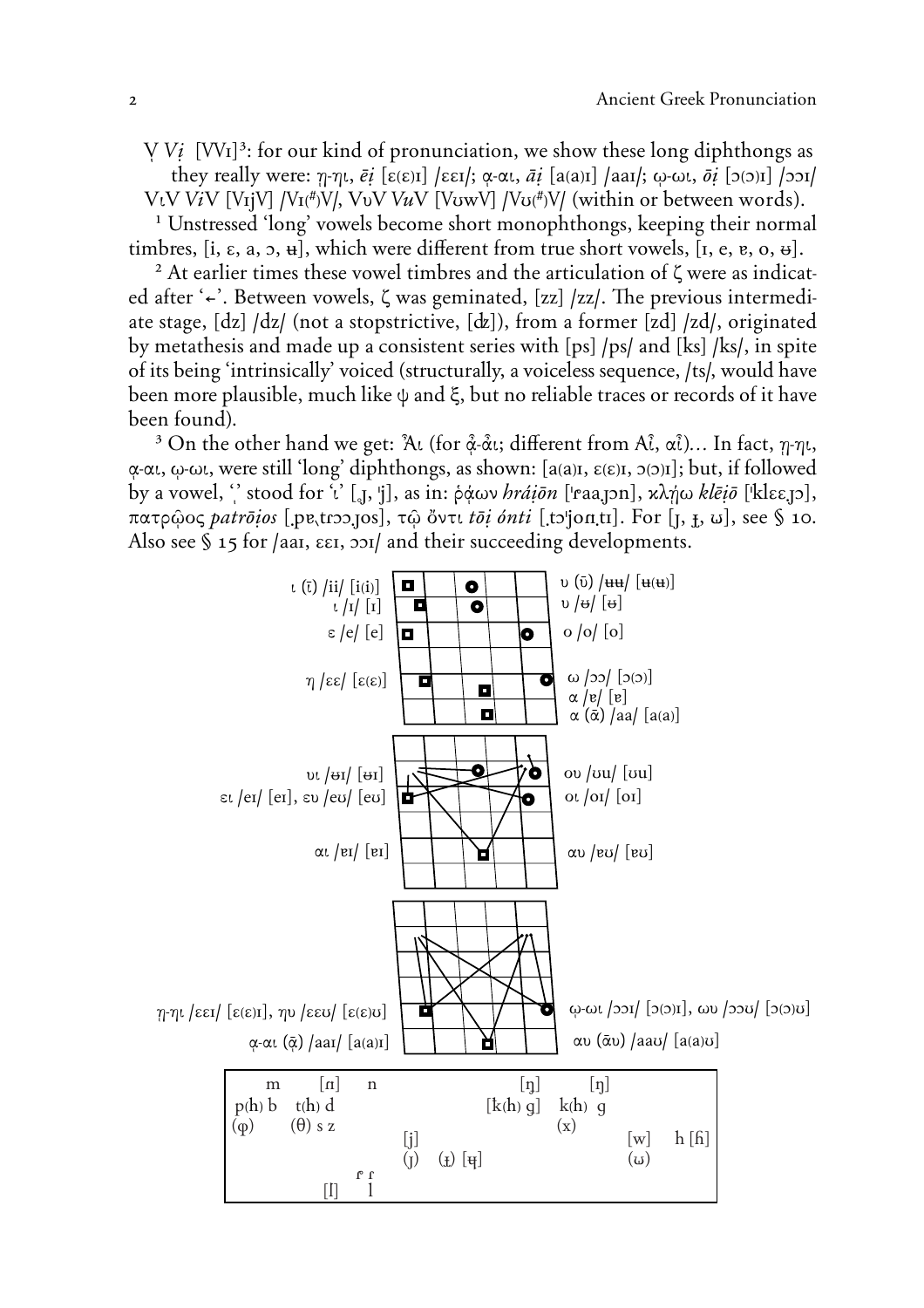*V Vi*  $[VVI]^3$ : for our kind of pronunciation, we show these long diphthongs as they really were:  $\eta$ - $\eta$ *t*,  $\bar{e}i$  [ $\epsilon(\epsilon)\eta$ ] / $\epsilon\epsilon I$ ;  $\alpha$ - $\alpha\iota$ ,  $\bar{a}i$  [ $a(\alpha)\eta$ ] / $a\alpha I$ ;  $\omega$ - $\omega\iota$ ,  $\bar{\sigma}i$  [ $\sigma(\delta)\eta$ ] / $\sigma\alpha I$ / V<sub>t</sub>V ViV [V<sub>I</sub>jV] /V<sub>I</sub>(#)V/, V<sub>V</sub>V VuV [V<sub>UW</sub>V] /V<sub>U</sub>(#)V/ (within or between words).

<sup>1</sup> Unstressed 'long' vowels become short monophthongs, keeping their normal timbres,  $[i, \varepsilon, a, 5, d]$ , which were different from true short vowels,  $[i, e, e, 0, d]$ .

 $2$  At earlier times these vowel timbres and the articulation of  $\zeta$  were as indicated after '<sup>←</sup>. Between vowels, ζ was geminated, [zz] /zz/. The previous intermediate stage, **(dz) /dz/** (not a stopstrictive, **(Q)**), from a former **(zd) /zd/**, originated by metathesis and made up a consistent series with **(ps) /ps/** and **(ks) /ks/**, in spite of its being 'intrinsically' voiced (structurally, a voiceless sequence, **/ts/,** would have been more plausible, much like  $\psi$  and  $\xi$ , but no reliable traces or records of it have been found).

<sup>3</sup> On the other hand we get:  $\lambda$ <sup>[</sup> (for  $\alpha$ <sup>2</sup>- $\alpha$ <sup>1</sup>); different from A $\hat{i}$ ,  $\alpha$  $\hat{i}$ )... In fact,  $\eta$ - $\eta$ *t*,  $\alpha$ - $\alpha$ *l*,  $\omega$ - $\omega$ *l*, were still 'long' diphthongs, as shown:  $[a(a)$ <sup> $i$ </sup>,  $\epsilon(\epsilon)$ <sup> $i$ </sup>,  $\gamma(\epsilon)$ <sup> $j$ </sup>]; but, if followed by a vowel, "stood for 'i' [<sub>a</sub>, 'j], as in:  $\phi \phi \omega v$  *hrá* $i\bar{o}n$  ['raa, pn], κλήω *klē* $i\bar{o}$  ['klεε, p],  $\pi\alpha\tau\beta\omega$  $\alpha\zeta$  *patroios* [.pe.trop.jos],  $\tau\hat{\omega}$   $\delta$ ντι *toi onti* [.to'jon.tr]. For [*j*, *f*, *u*], see § 10. Also see § 15 for /aai,  $\epsilon \epsilon$ *i*,  $\frac{1}{2}$  and their succeeding developments.

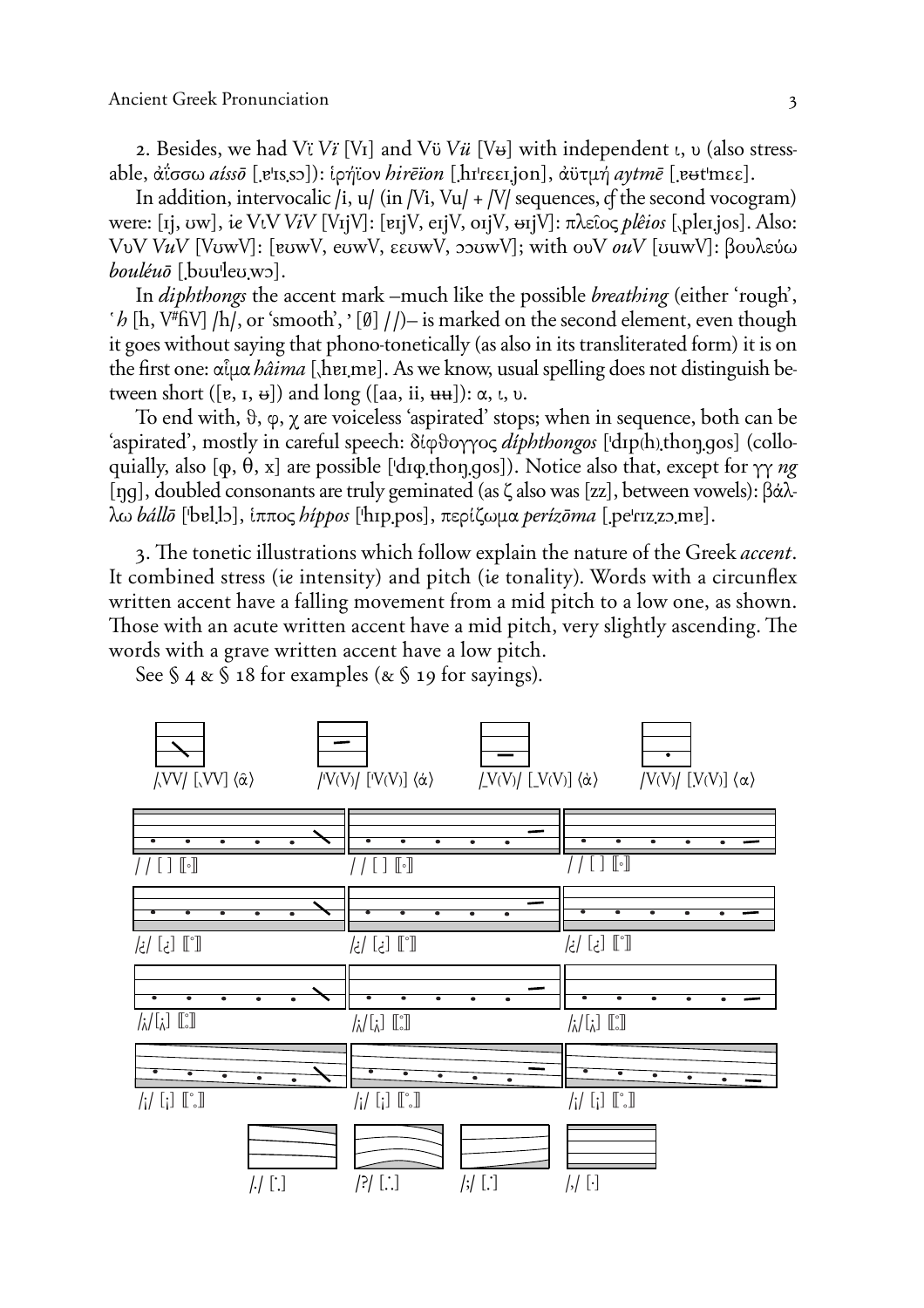2. Besides, we had Vi Vi [V<sub>I</sub>] and V<sub>i</sub> V<sub>i</sub> [V<sub>b</sub>] with independent  $\iota$ ,  $\nu$  (also stressable,  $\hat{\alpha}$ iσσω *aisso* [ers.so]): ipήϊον *hirēïon* [hɪrɛɛɪ.jon],  $\hat{\alpha}$ υτμή *aytmē* [eutmεε].

In addition, intervocalic /i,  $u/$  (in /Vi, Vu/ + /V/ sequences, of the second vocogram) were: [1], uw], ie VtV ViV [V<sub>I</sub>]V]: [ei]V, ei]V, oi]V,  $\Theta$ i]V]:  $\pi \lambda \epsilon \hat{\omega}$  *plêios* [, plei. [os]. Also: VυV VuV [VυwV]: [ευwV, eυwV, εευwV, p ωwV]; with ouV *ouV* [υμwV]: βουλεύω  $boul\'eu\bar{o}$  [bouleowo].

In *diphthongs* the accent mark –much like the possible *breathing* (either 'rough',  $h \in \mathbb{R}$  /h, V<sup>#</sup>fiV] /h/, or 'smooth', ' [0] //) – is marked on the second element, even though it goes without saying that phono-tonetically (as also in its transliterated form) it is on the first one:  $\alpha \hat{\iota} \mu \alpha \hat{h} \hat{a} \hat{i} \hat{m} a$  [herme]. As we know, usual spelling does not distinguish between short ([e, I,  $\theta$ ]) and long ([aa, ii,  $\theta$ ):  $\alpha$ ,  $\iota$ ,  $\upsilon$ .

To end with,  $\vartheta$ ,  $\varphi$ ,  $\chi$  are voiceless 'aspirated' stops; when in sequence, both can be 'aspirated', mostly in careful speech: δίφθογγος *diphthongos* ['dɪp(h),thon.gos] (colloquially, also [ $\varphi$ ,  $\theta$ , x] are possible ['dɪ $\varphi$ thongos]). Notice also that, except for  $\gamma\gamma$  ng [nq], doubled consonants are truly geminated (as  $\zeta$  also was [zz], between vowels):  $\beta \dot{\alpha} \lambda$ λω bállō ['bellɔ], ίππος hippos ['hɪp.pos], περίζωμα perizōma [.pe'rɪz.zɔ.mɐ].

3. The tonetic illustrations which follow explain the nature of the Greek *accent*. It combined stress (ie intensity) and pitch (ie tonality). Words with a circunflex written accent have a falling movement from a mid pitch to a low one, as shown. Those with an acute written accent have a mid pitch, very slightly ascending. The words with a grave written accent have a low pitch.

See  $\S$  4 &  $\S$  18 for examples (&  $\S$  19 for sayings).

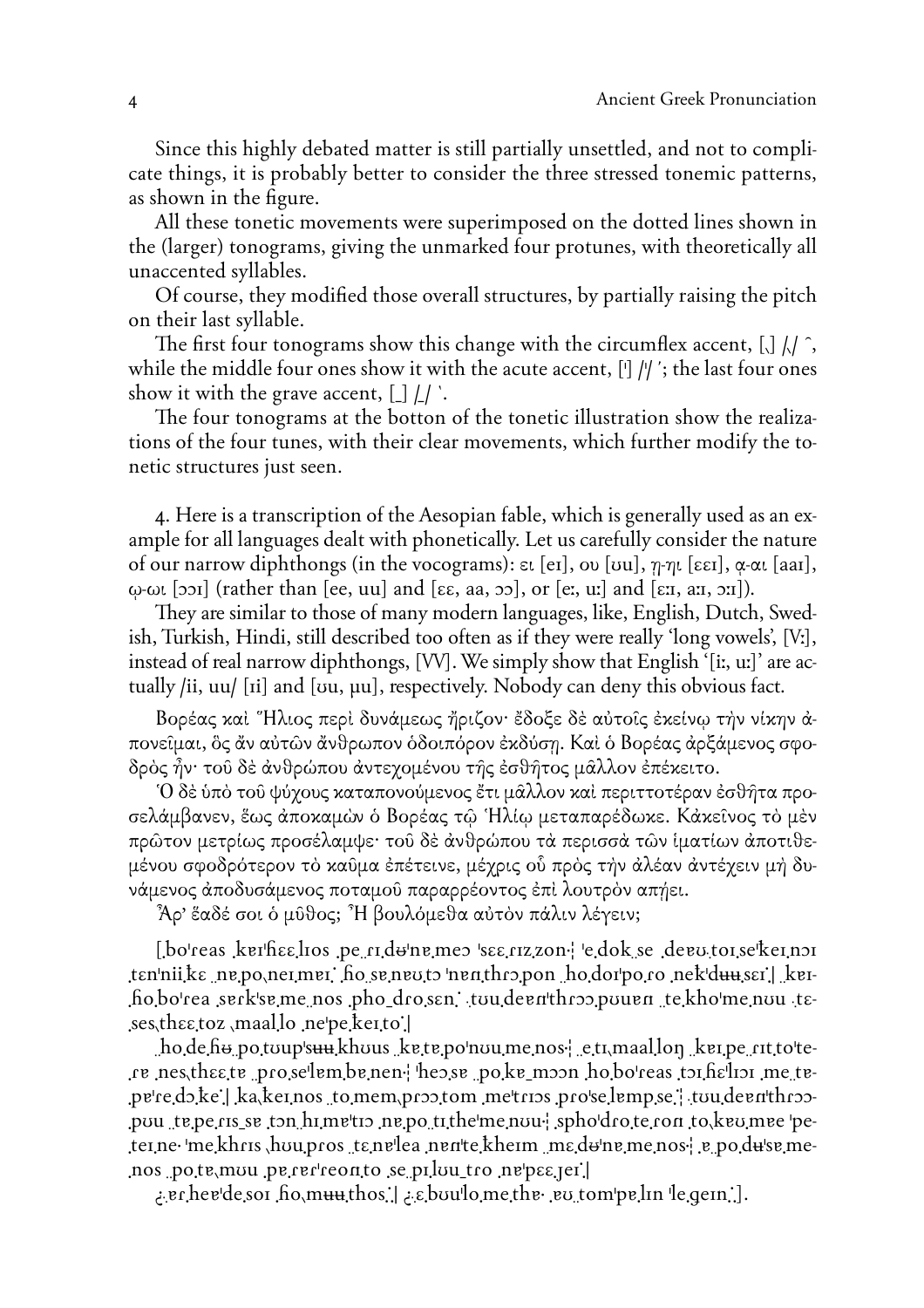Since this highly debated matter is still partially unsettled, and not to complicate things, it is probably better to consider the three stressed tonemic patterns, as shown in the figure.

All these tonetic movements were superimposed on the dotted lines shown in the (larger) tonograms, giving the unmarked four protunes, with theoretically all unaccented syllables.

Of course, they modified those overall structures, by partially raising the pitch on their last syllable.

The first four tonograms show this change with the circumflex accent,  $\iint_R f(x)$ , while the middle four ones show it with the acute accent,  $\left[\right]$  //'; the last four ones show it with the grave accent,  $[\ ]\ ]\ ]$ .

The four tonograms at the botton of the tonetic illustration show the realizations of the four tunes, with their clear movements, which further modify the tonetic structures just seen.

4. Here is a transcription of the Aesopian fable, which is generally used as an example for all languages dealt with phonetically. Let us carefully consider the nature of our narrow diphthongs (in the vocograms):  $\varepsilon$ t [er], ov [vu],  $\eta$ - $\eta$ t [ $\varepsilon \varepsilon$ r],  $\alpha$ - $\alpha$ t [aar],  $\omega$ - $\omega$  [201] (rather than [ee, uu] and [ $\epsilon \epsilon$ , aa, 20], or [e:, u:] and [ $\epsilon$ : a:, 21]).

They are similar to those of many modern languages, like, English, Dutch, Swedish, Turkish, Hindi, still described too often as if they were really 'long vowels', [V:], instead of real narrow diphthongs, [VV]. We simply show that English '[i:, u:]' are actually /ii, uu/ [ii] and [vu, µu], respectively. Nobody can deny this obvious fact.

Βορέας και "Ηλιος περί δυνάμεως ήριζον· έδοξε δε αύτοις έκείνω την νίκην άπονείμαι, δς άν αύτων άνθρωπον όδοιπόρον έκδύση. Και ό Βορέας άρξάμενος σφοδρός ἦν· τοῦ δὲ ἀνθρώπου ἀντεχομένου τῆς ἐσθῆτος μᾶλλον ἐπέκειτο.

Ό δέ ύπό του ψύγους καταπονούμενος έτι μάλλον και περιττοτέραν έσθήτα προσελάμβανεν, ἕως ἀποκαμὼν ὁ Βορέας τῷ Ἡλίῳ μεταπαρέδωκε. Κάκεῖνος τὸ μὲν πρώτον μετρίως προσέλαμψε· του δέ άνθρώπου τά περισσά τών ίματίων άποτιθεμένου σφοδρότερον τὸ καῦμα ἐπέτεινε, μέχρις οὗ πρὸς τὴν ἀλέαν ἀντέχειν μὴ δυνάμενος άποδυσάμενος ποταμού παραρρέοντος έπι λουτρόν απήει.

Άρ' ἕαδέ σοι ὁ μῦθος; "Η βουλόμεθα αὐτὸν πάλιν λέγειν;

[bo'reas kerheelios pe ridungmes see rizzon edok se degutoi se'keinsi ten'nii ke ne po nei mei ho se neu to 'nen thro pon ho dorpo ro nek duuser | keihobo'rea serk'se me nos pho drosen, tou deenthros pouen te kho'me nou teses, the etoz, maal lo ne pe keito.

 $\Delta$  ho de he potoups and khous kete point une nos-  $\epsilon$  et  $\Delta$  maallon ket per ritt of tere nes the te proselem be nen the se polke moon hoboteas to help in me tepered, ke | ka keinos to mem proptom metrips proselempse | tou deenthrop-.pou te pe ris se ton himetio ne po tithe me nou- sphodrote ron to keo mee peterne me khris hou pros tenelea nente kheim me done me nos re po du'se me-[rajasq'an ori nuluq se piluu\_tro nepsagen.

.er.hev'de.so1 .ho.muuthos...| العام 2.ebou'lo.me.the. ev.tom'pe.lin 'le.gein...].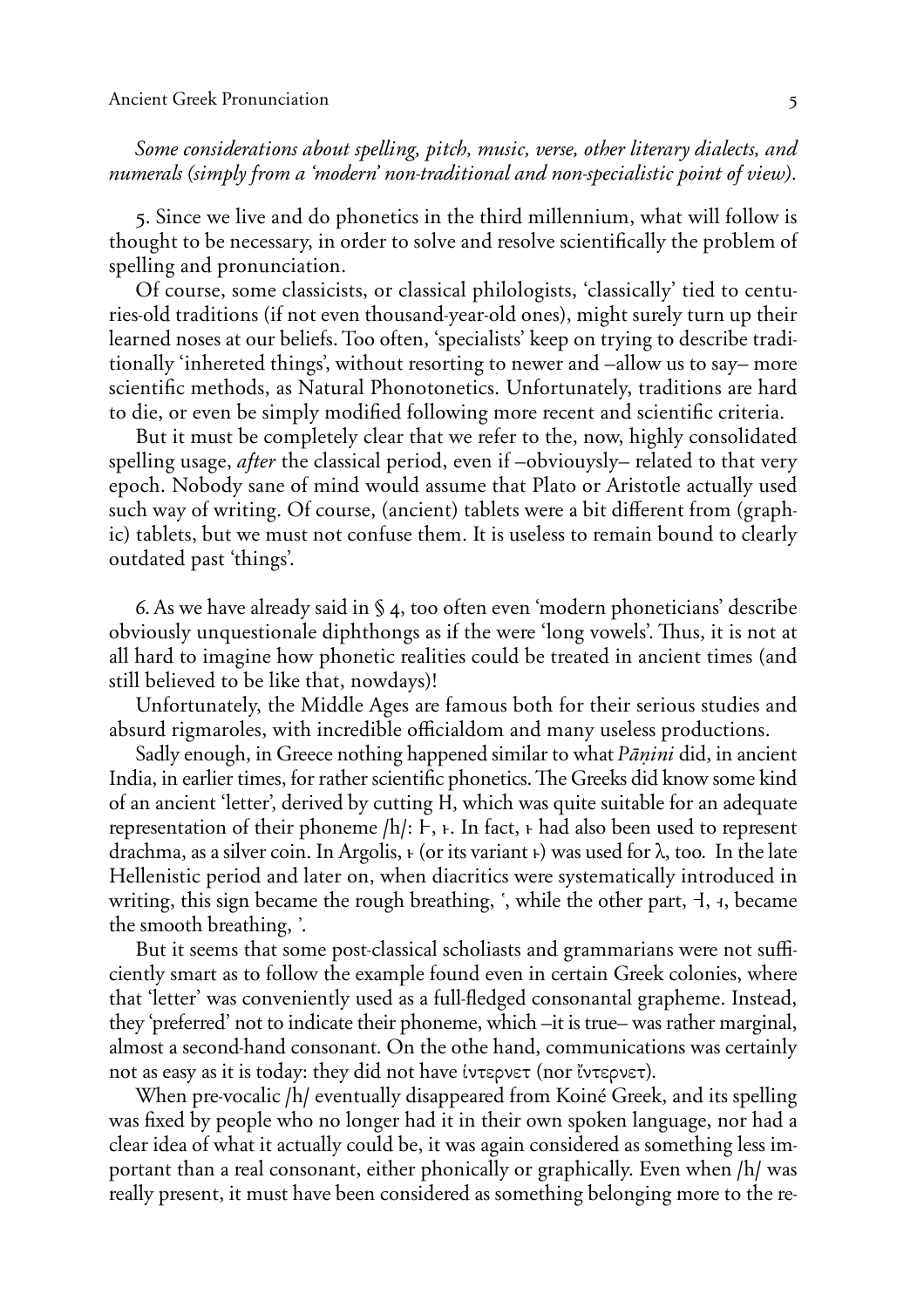*Some considerations about spelling, pitch, music, verse, other literary dialects, and numerals (simply from a 'modern' non-traditional and non-specialistic point of view).*

5. Since we live and do phonetics in the third millennium, what will follow is thought to be necessary, in order to solve and resolve scientifically the problem of spelling and pronunciation.

Of course, some classicists, or classical philologists, 'classically' tied to centuries-old traditions (if not even thousand-year-old ones), might surely turn up their learned noses at our beliefs. Too often, 'specialists' keep on trying to describe traditionally 'inhereted things', without resorting to newer and –allow us to say– more scientific methods, as Natural Phonotonetics. Unfortunately, traditions are hard to die, or even be simply modified following more recent and scientific criteria.

But it must be completely clear that we refer to the, now, highly consolidated spelling usage, *after* the classical period, even if –obviouysly– related to that very epoch. Nobody sane of mind would assume that Plato or Aristotle actually used such way of writing. Of course, (ancient) tablets were a bit different from (graphic) tablets, but we must not confuse them. It is useless to remain bound to clearly outdated past 'things'.

6. As we have already said in § 4, too often even 'modern phoneticians' describe obviously unquestionale diphthongs as if the were 'long vowels'. Thus, it is not at all hard to imagine how phonetic realities could be treated in ancient times (and still believed to be like that, nowdays)!

Unfortunately, the Middle Ages are famous both for their serious studies and absurd rigmaroles, with incredible officialdom and many useless productions.

Sadly enough, in Greece nothing happened similar to what *Pāṇini* did, in ancient India, in earlier times, for rather scientific phonetics. The Greeks did know some kind of an ancient 'letter', derived by cutting H, which was quite suitable for an adequate representation of their phoneme  $/h$ :  $F$ ,  $F$ . In fact,  $F$  had also been used to represent drachma, as a silver coin. In Argolis,  $\mu$  (or its variant  $\mu$ ) was used for  $\lambda$ , too. In the late Hellenistic period and later on, when diacritics were systematically introduced in writing, this sign became the rough breathing,  $\zeta$ , while the other part,  $\zeta$ ,  $\zeta$ , became the smooth breathing,  $\therefore$ 

But it seems that some post-classical scholiasts and grammarians were not sufficiently smart as to follow the example found even in certain Greek colonies, where that 'letter' was conveniently used as a full-fledged consonantal grapheme. Instead, they 'preferred' not to indicate their phoneme, which –it is true– was rather marginal, almost a second-hand consonant. On the othe hand, communications was certainly not as easy as it is today: they did not have  $\mu$ ternet (nor  $\mu$ vternet).

When pre-vocalic */h/* eventually disappeared from Koiné Greek, and its spelling was fixed by people who no longer had it in their own spoken language, nor had a clear idea of what it actually could be, it was again considered as something less important than a real consonant, either phonically or graphically. Even when **/h/** was really present, it must have been considered as something belonging more to the re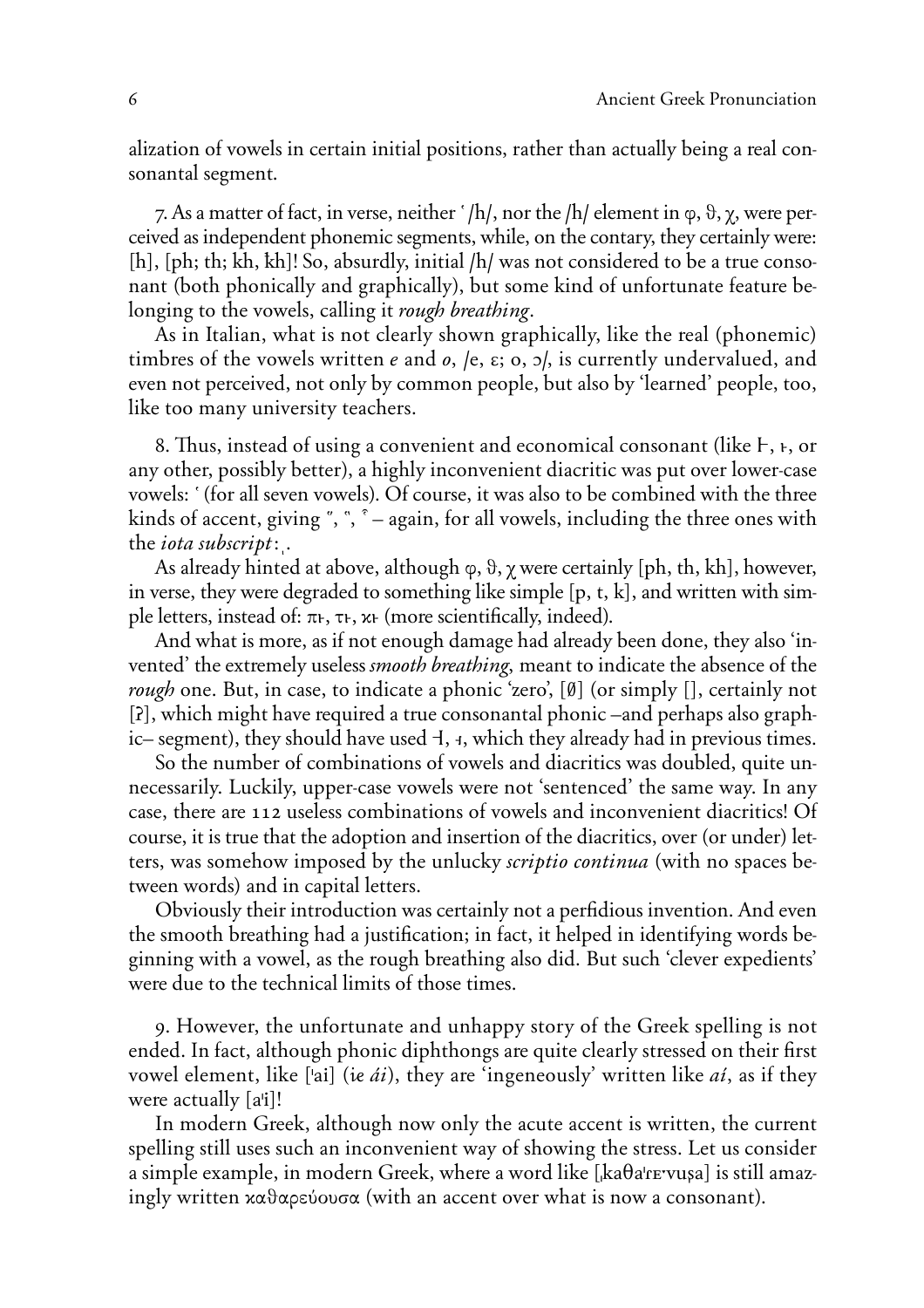alization of vowels in certain initial positions, rather than actually being a real consonantal segment.

7. As a matter of fact, in verse, neither  $^{\prime}$ /h/, nor the /h/ element in  $\varphi$ ,  $\vartheta$ ,  $\chi$ , were perceived as independent phonemic segments, while, on the contary, they certainly were: [h], [ph; th; kh, kh]! So, absurdly, initial /h/ was not considered to be a true consonant (both phonically and graphically), but some kind of unfortunate feature belonging to the vowels, calling it *rough breathing*.

As in Italian, what is not clearly shown graphically, like the real (phonemic) timbres of the vowels written *e* and *o*, /e,  $\varepsilon$ ; o,  $\frac{1}{2}$ , is currently undervalued, and even not perceived, not only by common people, but also by 'learned' people, too, like too many university teachers.

8. Thus, instead of using a convenient and economical consonant (like  $F$ ,  $F$ , or any other, possibly better), a highly inconvenient diacritic was put over lower-case vowels: ' (for all seven vowels). Of course, it was also to be combined with the three kinds of accent, giving  $\degree$ ,  $\degree$ ,  $\degree$  – again, for all vowels, including the three ones with the *iota subscript\*|.

As already hinted at above, although  $\varphi$ ,  $\vartheta$ ,  $\gamma$  were certainly [ph, th, kh], however, in verse, they were degraded to something like simple [p, t, k], and written with simple letters, instead of:  $\pi_{f}$ ,  $\tau_{f}$ ,  $\kappa_{f}$  (more scientifically, indeed).

And what is more, as if not enough damage had already been done, they also 'invented' the extremely useless *smooth breathing*, meant to indicate the absence of the *rough* one. But, in case, to indicate a phonic 'zero', **(***`***)** (or simply **()**, certainly not **(ö)**, which might have required a true consonantal phonic –and perhaps also graphic– segment), they should have used  $\ddagger$ ,  $\ddagger$ , which they already had in previous times.

So the number of combinations of vowels and diacritics was doubled, quite unnecessarily. Luckily, upper-case vowels were not 'sentenced' the same way. In any case, there are 112 useless combinations of vowels and inconvenient diacritics! Of course, it is true that the adoption and insertion of the diacritics, over (or under) letters, was somehow imposed by the unlucky *scriptio continua* (with no spaces between words) and in capital letters.

Obviously their introduction was certainly not a perfidious invention. And even the smooth breathing had a justification; in fact, it helped in identifying words beginning with a vowel, as the rough breathing also did. But such 'clever expedients' were due to the technical limits of those times.

9. However, the unfortunate and unhappy story of the Greek spelling is not ended. In fact, although phonic diphthongs are quite clearly stressed on their first vowel element, like ['ai] (ie *ái*), they are 'ingeneously' written like *ai*, as if they were actually **(a'i)**!

In modern Greek, although now only the acute accent is written, the current spelling still uses such an inconvenient way of showing the stress. Let us consider a simple example, in modern Greek, where a word like **(&ka†a'***R***™;vußa)** is still amazingly written  $x\alpha\theta\alpha\rho\epsilon\omega\sigma\alpha$  (with an accent over what is now a consonant).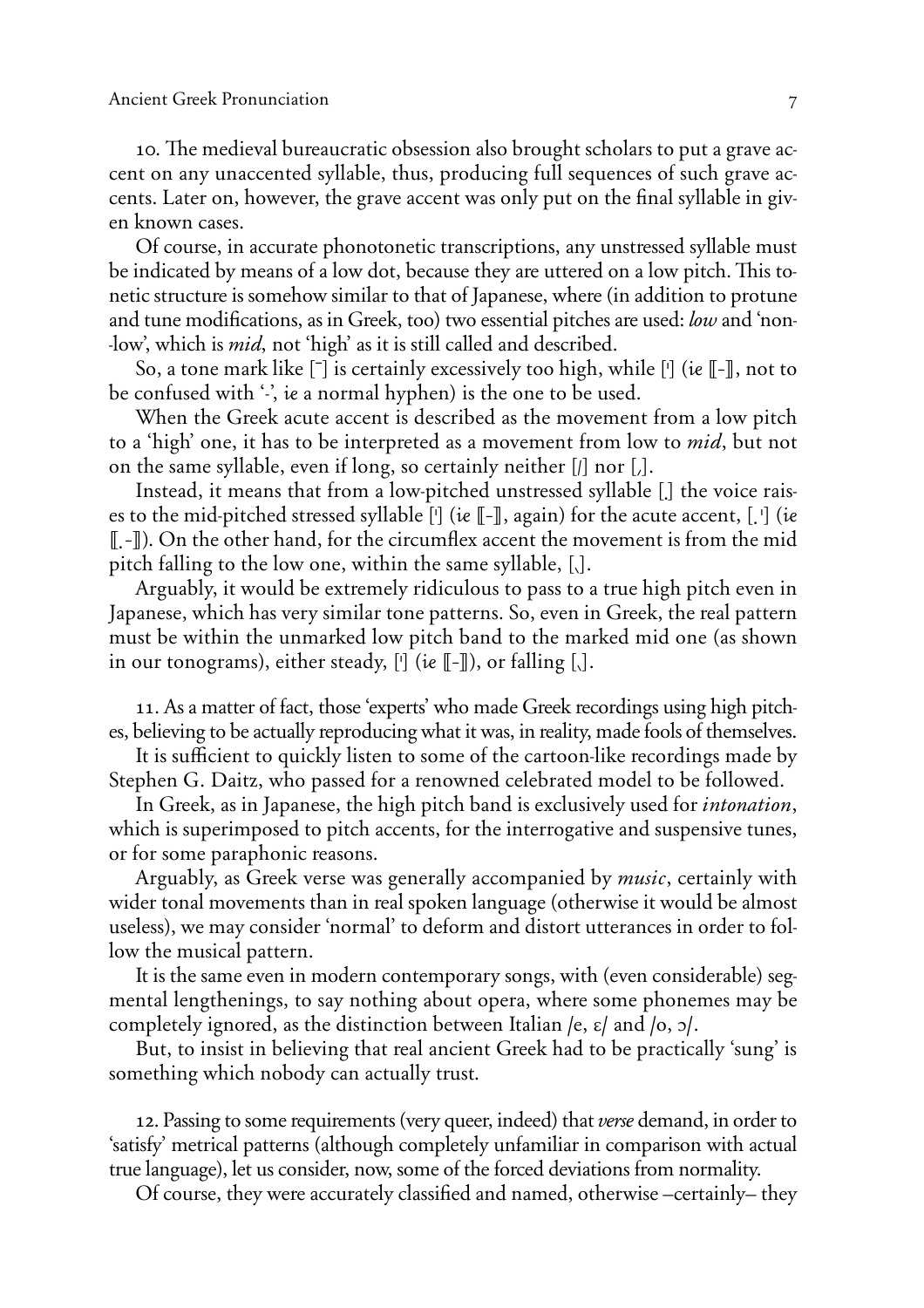10. The medieval bureaucratic obsession also brought scholars to put a grave accent on any unaccented syllable, thus, producing full sequences of such grave accents. Later on, however, the grave accent was only put on the final syllable in given known cases.

Of course, in accurate phonotonetic transcriptions, any unstressed syllable must be indicated by means of a low dot, because they are uttered on a low pitch. This tonetic structure is somehow similar to that of Japanese, where (in addition to protune and tune modifications, as in Greek, too) two essential pitches are used: *low* and 'non- -low', which is *mid*, not 'high' as it is still called and described.

So, a tone mark like **(5)** is certainly excessively too high, while **(')** (\ **(('))**, not to be confused with  $\cdot$ , ie a normal hyphen) is the one to be used.

When the Greek acute accent is described as the movement from a low pitch to a 'high' one, it has to be interpreted as a movement from low to *mid*, but not on the same syllable, even if long, so certainly neither  $\left[$ *i* nor  $\left[$ *j*.

Instead, it means that from a low-pitched unstressed syllable **(3)** the voice raises to the mid-pitched stressed syllable  $\lceil \cdot \rceil$  (ie  $\lceil \cdot \rceil$ , again) for the acute accent,  $\lceil \cdot \rceil$  (ie **((3'))**). On the other hand, for the circumflex accent the movement is from the mid pitch falling to the low one, within the same syllable, [.].

Arguably, it would be extremely ridiculous to pass to a true high pitch even in Japanese, which has very similar tone patterns. So, even in Greek, the real pattern must be within the unmarked low pitch band to the marked mid one (as shown in our tonograms), either steady,  $[\cdot]$  (ie  $[\cdot]$ ), or falling  $[\cdot]$ .

11. As a matter of fact, those 'experts' who made Greek recordings using high pitches, believing to be actually reproducing what it was, in reality, made fools of themselves.

It is sufficient to quickly listen to some of the cartoon-like recordings made by Stephen G. Daitz, who passed for a renowned celebrated model to be followed.

In Greek, as in Japanese, the high pitch band is exclusively used for *intonation*, which is superimposed to pitch accents, for the interrogative and suspensive tunes, or for some paraphonic reasons.

Arguably, as Greek verse was generally accompanied by *music*, certainly with wider tonal movements than in real spoken language (otherwise it would be almost useless), we may consider 'normal' to deform and distort utterances in order to follow the musical pattern.

It is the same even in modern contemporary songs, with (even considerable) segmental lengthenings, to say nothing about opera, where some phonemes may be completely ignored, as the distinction between Italian **/e, E/** and **/o, O/**.

But, to insist in believing that real ancient Greek had to be practically 'sung' is something which nobody can actually trust.

12. Passing to some requirements (very queer, indeed) that *verse* demand, in order to 'satisfy' metrical patterns (although completely unfamiliar in comparison with actual true language), let us consider, now, some of the forced deviations from normality.

Of course, they were accurately classified and named, otherwise –certainly– they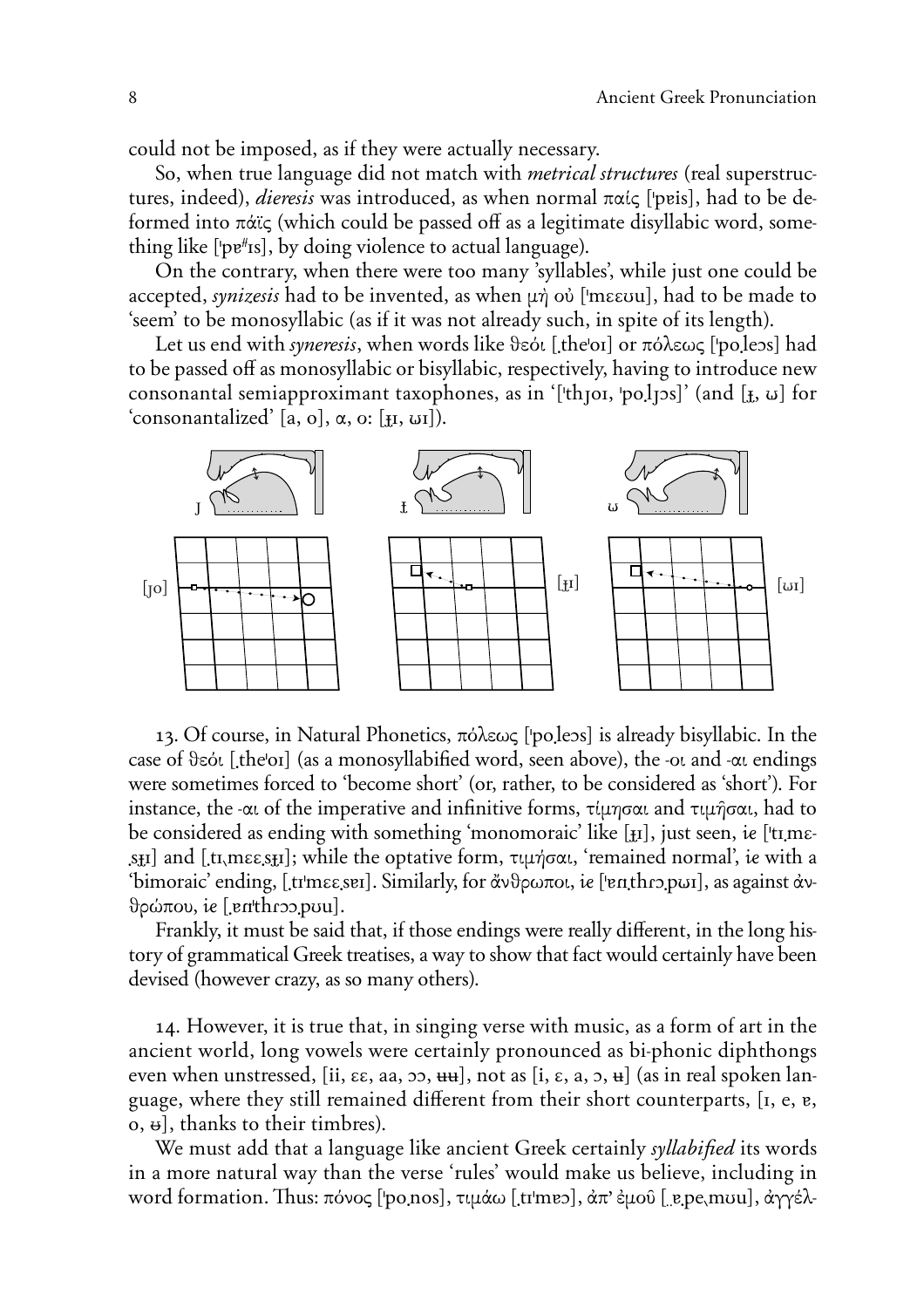could not be imposed, as if they were actually necessary.

So, when true language did not match with *metrical structures* (real superstructures, indeed), *dieresis* was introduced, as when normal παίς ['pɐis], had to be deformed into  $\pi\alpha\zeta$  (which could be passed off as a legitimate disyllabic word, something like ['pe<sup>#</sup>Is], by doing violence to actual language).

On the contrary, when there were too many 'syllables', while just one could be accepted, *synizesis* had to be invented, as when μή οὐ ['mεευu], had to be made to 'seem' to be monosyllabic (as if it was not already such, in spite of its length).

Let us end with *syneresis*, when words like θεόι [the'oI] or πόλεως ['po.leos] had to be passed off as monosyllabic or bisyllabic, respectively, having to introduce new consonantal semiapproximant taxophones, as in '['th<sub>l</sub>oi, 'po.l<sub>l</sub>os]' (and [ $\mathbf{I}$ ,  $\omega$ ] for  $\text{Consonantalized'}$  [a, o],  $\alpha$ , o: [H, WI]).



13. Of course, in Natural Phonetics, πόλεως ['po<sub>ileos</sub>] is already bisyllabic. In the case of  $\theta$ sót [theo<sub>I]</sub> (as a monosyllabified word, seen above), the -oi and - $\alpha$ i endings were sometimes forced to 'become short' (or, rather, to be considered as 'short'). For instance, the - $\alpha$  of the imperative and infinitive forms,  $\tau \psi$   $\alpha$  and  $\tau \psi$  and to be considered as ending with something 'monomoraic' like [ $\mu$ ], just seen, ie ['tɪmɛ- $\mathbf{S}_{\mathbf{H}}$ ] and [tr<sub>ousesst</sub>]; while the optative form,  $\tau \psi$   $\gamma$   $\sigma \alpha$ , 'remained normal', is with a 'bimoraic' ending, [tr<sup>i</sup>mεε, ser]. Similarly, for ἄνθρωποι, ἱε ['enthro.pwɪ], as against ἀν- $\theta$ ρώπου, ie [enthroo.puu].

Frankly, it must be said that, if those endings were really different, in the long history of grammatical Greek treatises, a way to show that fact would certainly have been devised (however crazy, as so many others).

14. However, it is true that, in singing verse with music, as a form of art in the ancient world, long vowels were certainly pronounced as bi-phonic diphthongs even when unstressed, [ii,  $\epsilon \epsilon$ , aa,  $\epsilon$ ,  $\epsilon$ ,  $\epsilon$ ,  $\epsilon$ ,  $\epsilon$ ,  $\epsilon$ ,  $\epsilon$ ,  $\epsilon$ ,  $\epsilon$ ,  $\epsilon$ ,  $\epsilon$ ,  $\epsilon$ ) (as in real spoken language, where they still remained different from their short counterparts, [I, e, e,  $\sigma$ ,  $\theta$ ), thanks to their timbres).

We must add that a language like ancient Greek certainly *syllabified* its words in a more natural way than the verse 'rules' would make us believe, including in word formation. Thus: πόνος ['po.nos], τιμάω [.tr'mɐɔ], ἀπ' ἐμοῦ [ˌɐ.pe.mʊu], ἀγγέλ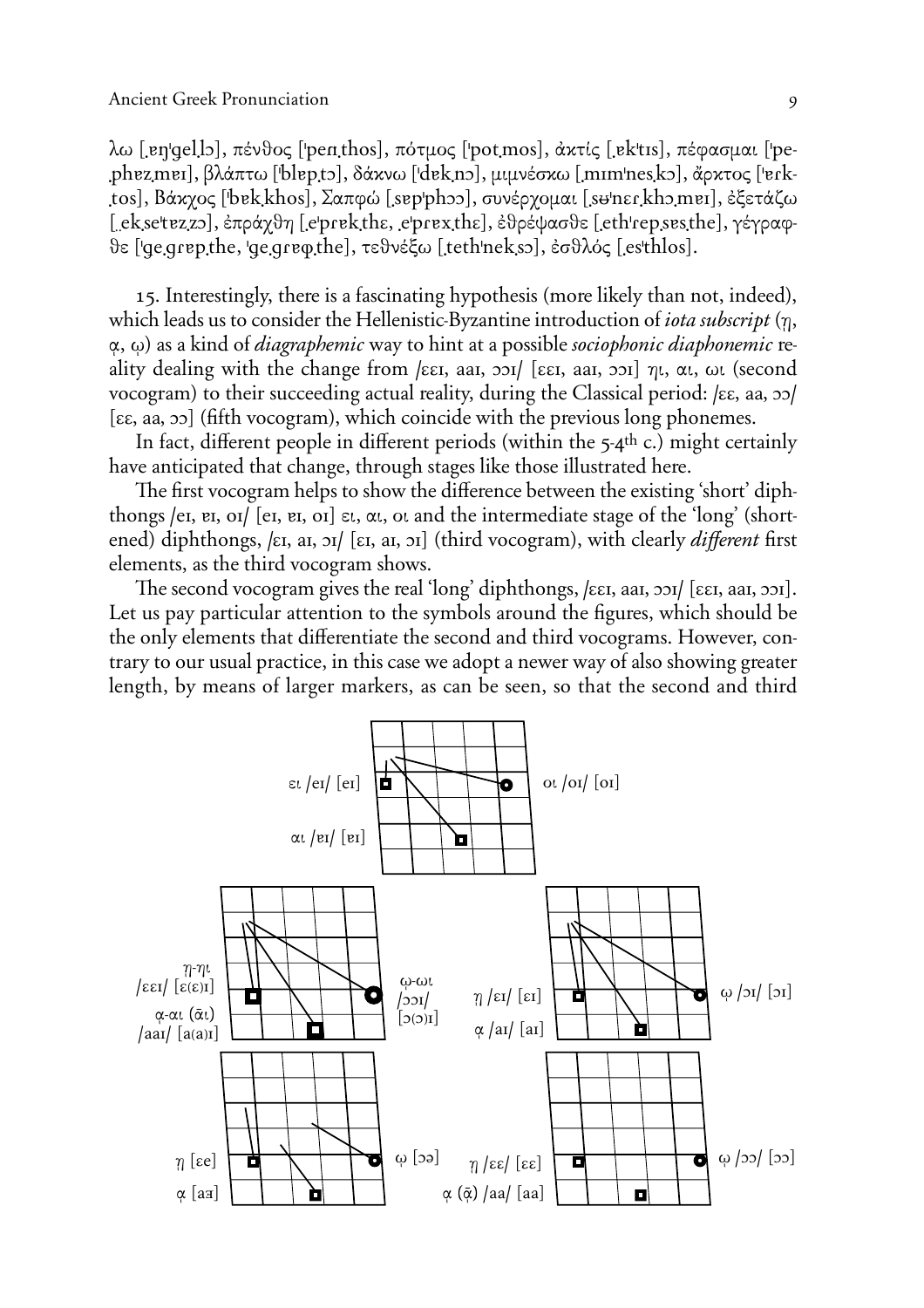$\lambda$ ω [en|qel]5], πένθος ['penthos], πότμος ['potmos], άκτίς [ek'tıs], πέφασμαι ['pephezmer], βλάπτω ['blep.tɔ], δάκνω ['dek.nɔ], μιμνέσκω [mɪm'nes.kɔ], ἄρκτος ['eɾktos], Βάκχος ['bɐk]khos], Σαπφώ [sɐp'phɔɔ], συνέρχομαι [sʉ'nɛɾ]khɔmɐɪ], ἐξετάζω **(**–™k3s™'tAz3zO**)**, §prÅxyh **(**3™'prAk3thE, 3™'prAx3thE), §yrÈcasye **(**3™th'r™p3sAs3th™), gÈgrafye ('Ÿ™3grAp3th™, 'Ÿ™3grA‡3th™**)**, teynÈjv **(**3t™th'n™k3sO**)**, §sylØw **(**3™s'thløs**)**.

15. Interestingly, there is a fascinating hypothesis (more likely than not, indeed), which leads us to consider the Hellenistic-Byzantine introduction of *iota subscript*  $(\eta, \eta)$  $(α, ω)$  as a kind of *diagraphemic* way to hint at a possible *sociophonic diaphonemic* reality dealing with the change from  $\left| \xi \right|$ , aai,  $\left| \xi \right|$ , aai,  $\left| \xi \right|$ ,  $\left| \xi \right|$ ,  $\alpha$ ,  $\omega$ , (second vocogram) to their succeeding actual reality, during the Classical period: [εε, aa, oo] **(EE, aa, OO)** (fifth vocogram), which coincide with the previous long phonemes.

In fact, different people in different periods (within the  $5-4$ <sup>th</sup> c.) might certainly have anticipated that change, through stages like those illustrated here.

The first vocogram helps to show the difference between the existing 'short' diphthongs /eɪ, ɐɪ, oɪ/ [eɪ, ɐɪ, oɪ] ει, αι, oι and the intermediate stage of the 'long' (shortened) diphthongs, /ɛɪ, aɪ, ɔɪ/ [ɛɪ, aɪ, ɔɪ] (third vocogram), with clearly *different* first elements, as the third vocogram shows.

The second vocogram gives the real 'long' diphthongs,  $\kappa$ <sub>EI</sub>, aai,  $\sigma$ <sub>2</sub>) [ $\epsilon$ <sub>EI</sub>, aai,  $\sigma$ <sub>2</sub>)]. Let us pay particular attention to the symbols around the figures, which should be the only elements that differentiate the second and third vocograms. However, contrary to our usual practice, in this case we adopt a newer way of also showing greater length, by means of larger markers, as can be seen, so that the second and third

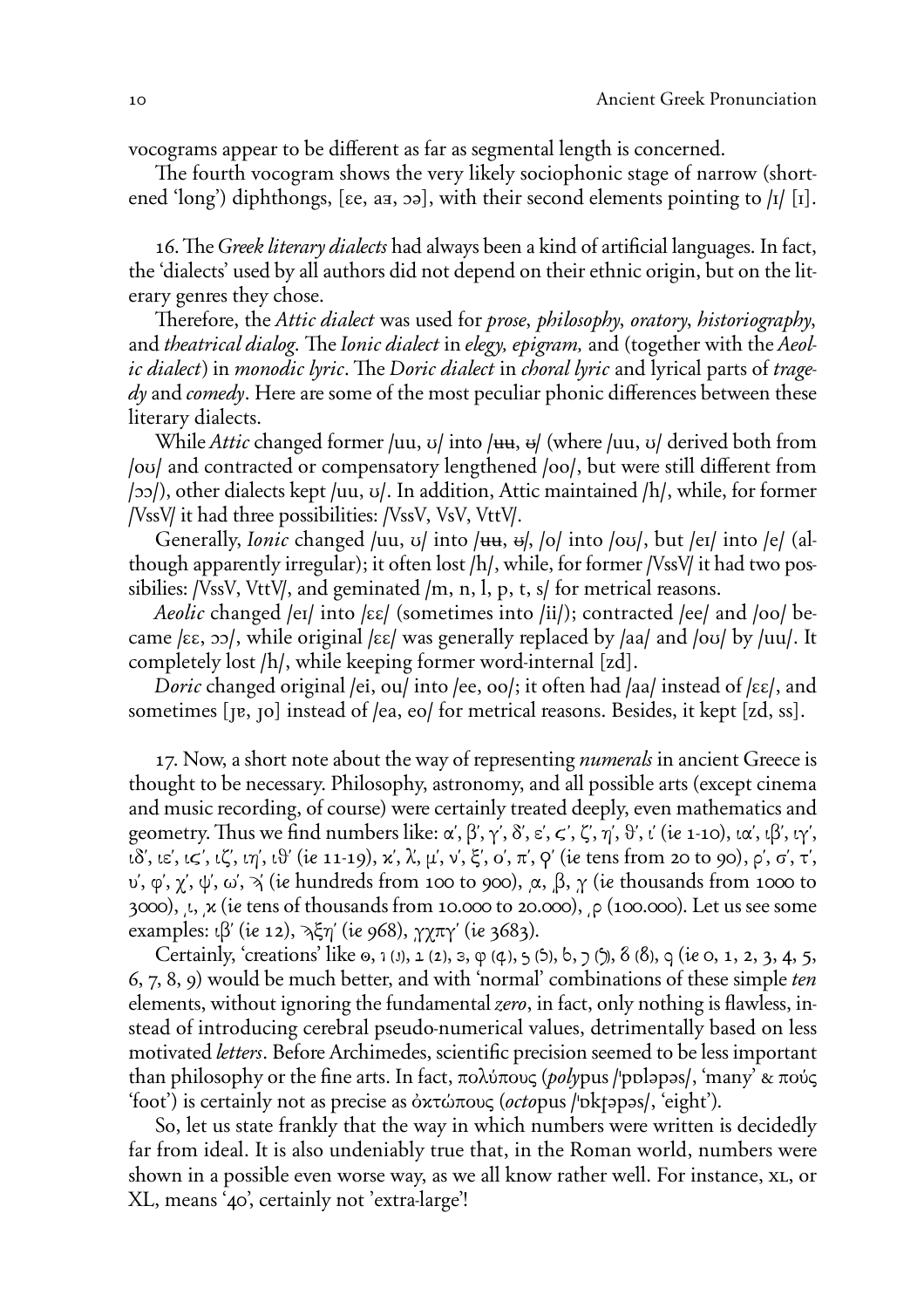vocograms appear to be different as far as segmental length is concerned.

The fourth vocogram shows the very likely sociophonic stage of narrow (shortened 'long') diphthongs,  $[\varepsilon e, a\bar{a}, a\bar{b}]$ , with their second elements pointing to  $\frac{1}{\vert 1 \vert}$ .

16. The *Greek literary dialects* had always been a kind of artificial languages. In fact, the 'dialects' used by all authors did not depend on their ethnic origin, but on the literary genres they chose.

Therefore, the *Attic dialect* was used for *prose*, *philosophy*, *oratory*, *historiography*, and *theatrical dialog*. The *Ionic dialect* in *elegy, epigram,* and (together with the *Aeolic dialect*) in *monodic lyric*. The *Doric dialect* in *choral lyric* and lyrical parts of *tragedy* and *comedy*. Here are some of the most peculiar phonic differences between these literary dialects.

While *Attic* changed former /uu, v/ into /uu, u/ (where /uu, v/ derived both from **/ou/** and contracted or compensatory lengthened /oo/, but were still different from **/OO/**), other dialects kept **/uu, U/**. In addition, Attic maintained **/h/**, while, for former */ VssV*/ it had three possibilities: /VssV, VsV, VttV/.

Generally, *Ionic* changed /uu, v/ into /uu, u, b/, lo/ into /ov/, but /eɪ/ into /e/ (although apparently irregular); it often lost /h/, while, for former */VssV*/ it had two possibilies: */VssV*, *VttV/*, and geminated /m, n, l, p, t, s/ for metrical reasons.

*Aeolic* changed **/eI/** into **/EE/** (sometimes into **/ii/**); contracted **/ee/** and **/oo/** became **/EE, OO/**, while original **/EE/** was generally replaced by **/aa/** and **/oU/** by **/uu/**. It completely lost /h/, while keeping former word-internal [zd].

*Doric* changed original **/ei, ou/** into **/ee, oo/**; it often had **/aa/** instead of **/EE/**, and sometimes [ $\mu$ ,  $\sigma$ ] instead of /ea, eo/ for metrical reasons. Besides, it kept [zd, ss].

17. Now, a short note about the way of representing *numerals* in ancient Greece is thought to be necessary. Philosophy, astronomy, and all possible arts (except cinema and music recording, of course) were certainly treated deeply, even mathematics and geometry. Thus we find numbers like:  $\alpha', \beta', \gamma', \delta', \varepsilon', \zeta', \zeta', \eta', \vartheta', \iota'$  (ie 1-10),  $\iota\alpha', \iota\beta', \iota\gamma',$  $i\delta$ , i $\varepsilon$ ,  $i\zeta$ ,  $i\zeta$ ,  $i\eta$ ,  $i\theta$  ( $i\epsilon$  11-19),  $\kappa$ ,  $\lambda$ ,  $\mu$ ,  $\nu$ ,  $\xi$ ,  $o$ ,  $\pi$ ,  $\varphi$  (ie tens from 20 to 90),  $\rho$ ,  $\sigma$ ,  $\tau$ , υ', φ', χ', ψ', ω',  $\gamma$ ' (ie hundreds from 100 to 900),  $\alpha$ ,  $\beta$ ,  $\gamma$  (ie thousands from 1000 to 3000),  $\mu$ ,  $\kappa$  (ie tens of thousands from 10.000 to 20.000),  $\rho$  (100.000). Let us see some examples:  $\iota$  $\beta'$  (ie 12),  $\lambda \xi \eta'$  (ie 968),  $\gamma \chi \pi \gamma'$  (ie 3683).

Certainly, 'creations' like  $\omega$ ,  $\omega$ ,  $(\omega)$ ,  $\omega$ ,  $(\omega)$ ,  $\omega$ ,  $(\omega)$ ,  $(\omega)$ ,  $(\omega)$ ,  $(\omega)$ ,  $(\omega)$ ,  $(\omega)$ ,  $(\omega)$ ,  $(\omega)$ ,  $\omega$ ,  $\omega$ ,  $\omega$ ,  $\omega$ ,  $\omega$ ,  $\omega$ ,  $\omega$ ,  $\omega$ ,  $\omega$ ,  $\omega$ ,  $\omega$ ,  $\omega$ ,  $\omega$ ,  $\omega$ ,  $\omega$ ,  $\omega$ ,  $\omega$ 6, 7, 8, 9) would be much better, and with 'normal' combinations of these simple *ten* elements, without ignoring the fundamental *zero*, in fact, only nothing is flawless, instead of introducing cerebral pseudo-numerical values, detrimentally based on less motivated *letters*. Before Archimedes, scientific precision seemed to be less important than philosophy or the fine arts. In fact, πολύπους (*poly*pus /'ppləpəs/, 'many' & πούς 'foot') is certainly not as precise as  $\delta$ *κ*τώπους (*octo*pus /'pkt apas/, 'eight').

So, let us state frankly that the way in which numbers were written is decidedly far from ideal. It is also undeniably true that, in the Roman world, numbers were shown in a possible even worse way, as we all know rather well. For instance, xL, or XL, means '40', certainly not 'extra-large'!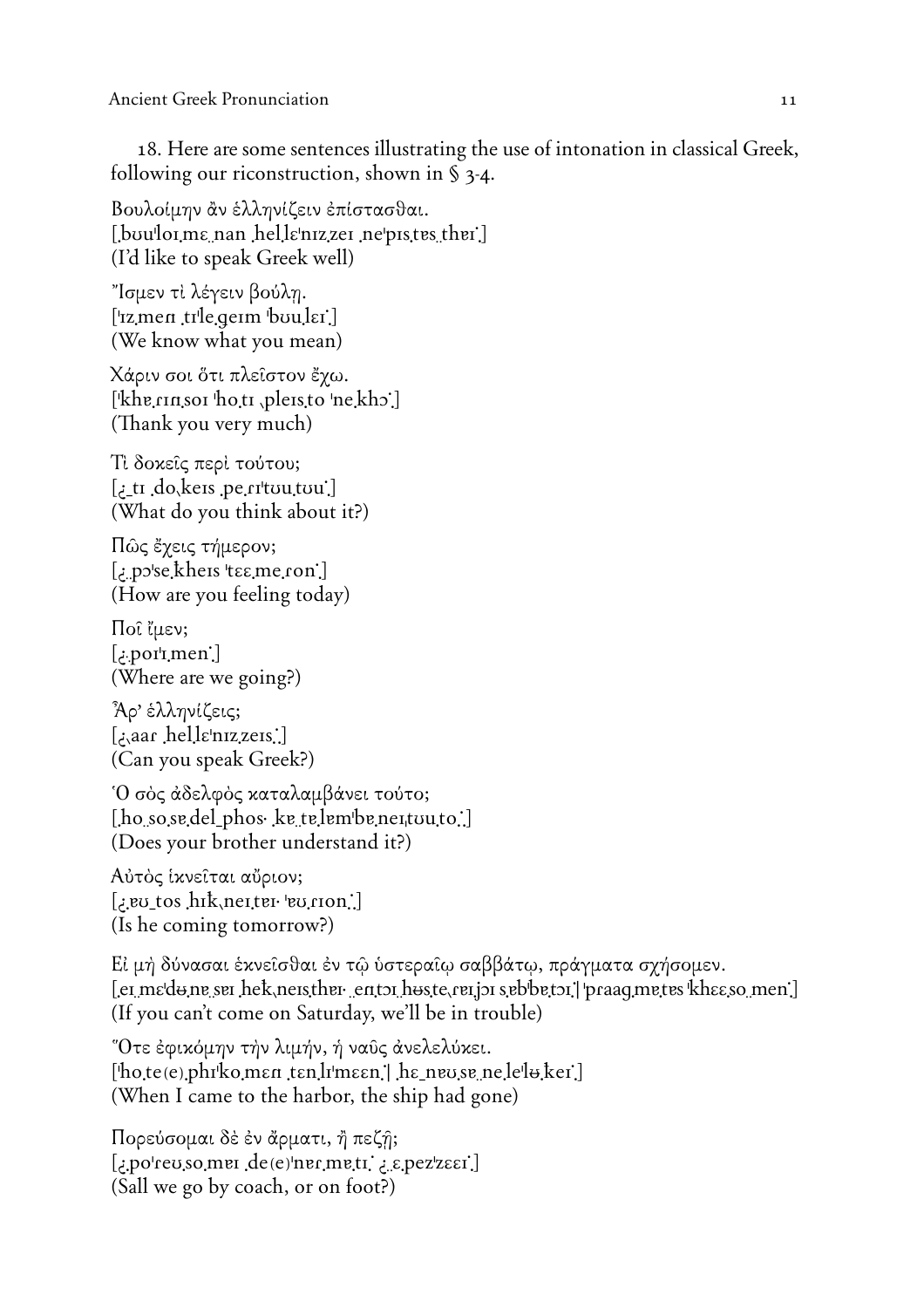18. Here are some sentences illustrating the use of intonation in classical Greek, following our riconstruction, shown in  $\S$  3-4.

Βουλοίμην ἂν ἑλληνίζειν ἐπίστασθαι. [boulorme nan helle nizzer ne pistes then] (I'd like to speak Greek well)

"Ισμεν τὶ λέγειν βούλη. ['1z men trle germ bouler.] (We know what you mean)

Χάριν σοι ότι πλεΐστον ἔχω. ['khɐ.rɪnˌsoɪ ˈhoˌtɪ ˌpleɪsˌto ˈne̯khɔ] (Thank you very much)

Τὶ δοκείς περί τούτου; [ $\pm$ ti do, keis pe rituutuu.] (What do you think about it?)

Πῶς ἔχεις τήμερον; [.po'se kheis 'tee me ron'] (How are you feeling today)

Ποι (μεν;  $[$ : por<sup> $\mathsf{r}$ </sup>men.] (Where are we going?)

Άρ' έλληνίζεις; [: aar .hel.lɛˈnɪz.zeɪs] (Can you speak Greek?)

Ό σὸς ἀδελφὸς καταλαμβάνει τούτο;  $[$ ho so se del phos ke te lembe neuto  $\ldots$ (Does your brother understand it?)

Αύτός ίκνείται αύριον;  $\lfloor$ ev\_tos .hik,neiter vurion.] (Is he coming tomorrow?)

Εί μή δύνασαι έκνεῖσθαι ἐν τῷ ὑστεραῖῳ σαββάτῳ, πράγματα σχήσομεν.  $[$ er m $\epsilon$ d $\Theta$ ne ser he $k$ , nersther entor h $\Theta$ ste, rerjor sebbetor  $\vert$  praaq metes kh $\epsilon$ sso men $\vert$ (If you can't come on Saturday, we'll be in trouble)

"Ότε έφικόμην τὴν λιμήν, ή ναῦς ἀνελελύκει.  $[\text{hote}(e)$ .phr $\text{ko}$ ,men ten.lrmeen.] he\_neuse\_ne.leluker.] (When I came to the harbor, the ship had gone)

Πορεύσομαι δέ έν άρματι, ή πεζή; [.po'rev.so.mer.de(e)'ner.metr. ; s.pez'z $\epsilon$ er. (Sall we go by coach, or on foot?)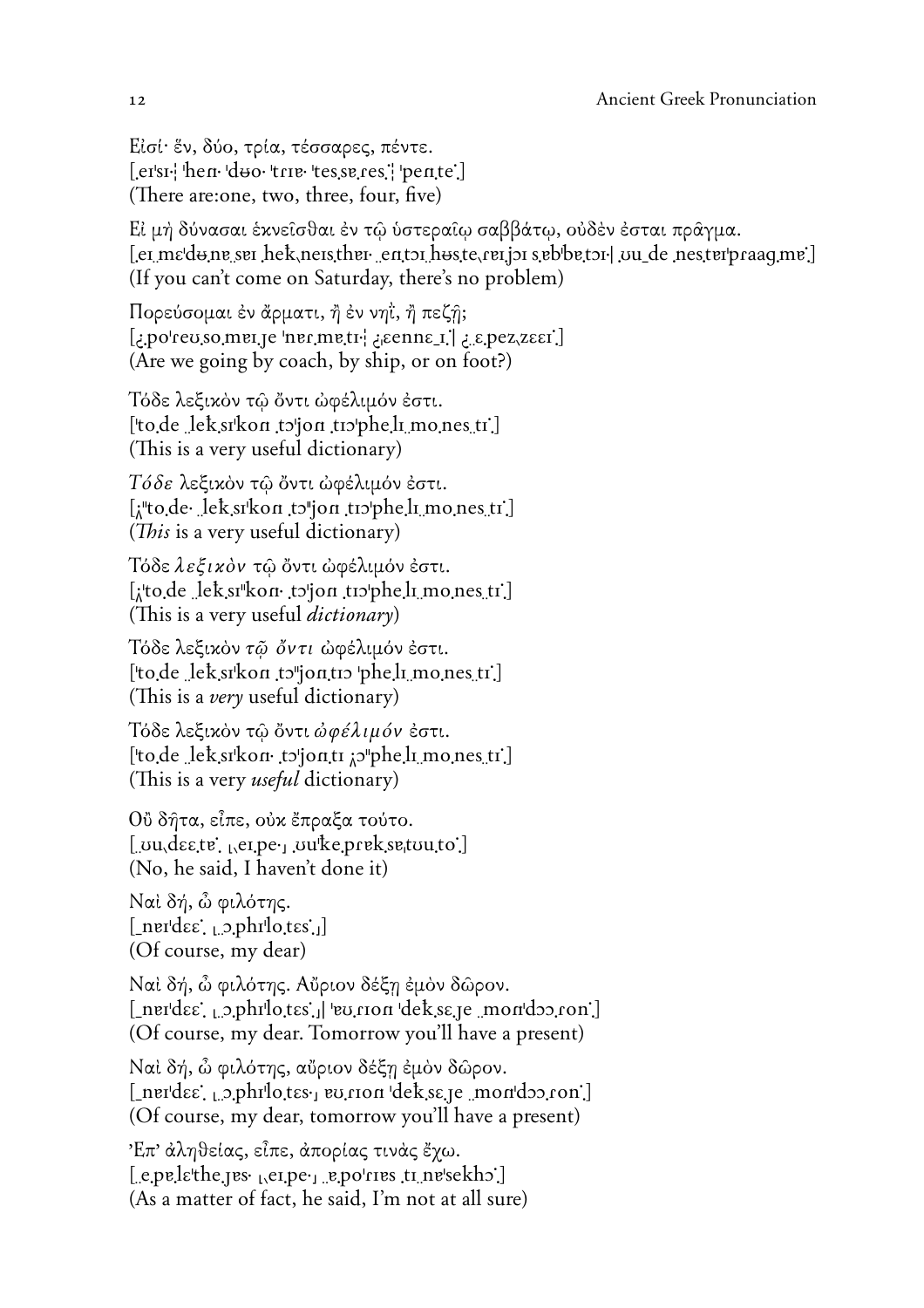Είσί· έν, δύο, τρία, τέσσαρες, πέντε.  $[er'sr]$  hen  $d\omega$  trie tesseres, pente. (There are: one, two, three, four, five)

Εί μή δύνασαι έκνεισθαι έν τω ύστεραιω σαββάτω, ούδεν έσται πράγμα. [et me'dune set hek, nets there entot hus te, ret jot sebbetor] ou de nest erbraaq me] (If you can't come on Saturday, there's no problem)

Πορεύσομαι έν άρματι, ή έν νηΐ, ή πεζή; [.jpo'reu so mei je 'ner metr' acenne i [1] .jpez zeer] (Are we going by coach, by ship, or on foot?)

Τόδε λεξικόν τῶ ὄντι ὡφέλιμόν ἐστι. ['to de lek sikon to jon trophe li mones ti.] (This is a very useful dictionary)

Τόδε λεξικόν τῶ ὄντι ώφέλιμόν έστι. [ $\mu$ to de lek sikon to jon tiopheli mones ti.] (This is a very useful dictionary)

Τόδε λεξικόν τῷ ὄντι ώφέλιμόν έστι. [: to de lek si kon to jon to pheli mones tr.] (This is a very useful *dictionary*)

Τόδε λεξικόν τ $\tilde{\omega}$  ὄντι ώφέλιμόν έστι. ['to de lek sikon to jonto 'phe li mones ti'] (This is a *very* useful dictionary)

Τόδε λεξικόν τῷ ὄντι ἀφέλιμόν ἐστι. ['to de lek sikon to'jonti a pheli mones ti] (This is a very *useful* dictionary)

Οὒ δήτα, εἶπε, οὐκ ἔπραξα τούτο.  $[$  uu $\text{degree}, \text{green}, \text{our}$ ke preksetuuto. (No, he said, I haven't done it)

Ναί δή, ὦ φιλότης.  $[\nImer\, \text{d}\varepsilon]$   $\Box$   $\Box$   $\Box$   $\Box$   $\Box$ (Of course, my dear)

Ναί δή, ὦ φιλότης. Αὔριον δέξη έμὸν δῶρον.  $[$ \_ner'dɛɛ;  $\alpha$ \_phr $\alpha$ bi [bology] | bology dekse.je \_mondoo.jon] (Of course, my dear. Tomorrow you'll have a present)

Ναί δή, ὦ φιλότης, αὔριον δέξη έμὸν δῶρον.  $[$ \_nerdes:  $\alpha$ ,  $\beta$ ,  $\beta$ hrlotes $\gamma$  ev. rion dekse je \_mondoo ron.] (Of course, my dear, tomorrow you'll have a present)

Έπ' άληθείας, εἶπε, άπορίας τινάς έχω.  $[$  e.pe. let he jes  $_{1}$  ei pe  $_{1}$  e.po'ries ti ne'sekho.] (As a matter of fact, he said, I'm not at all sure)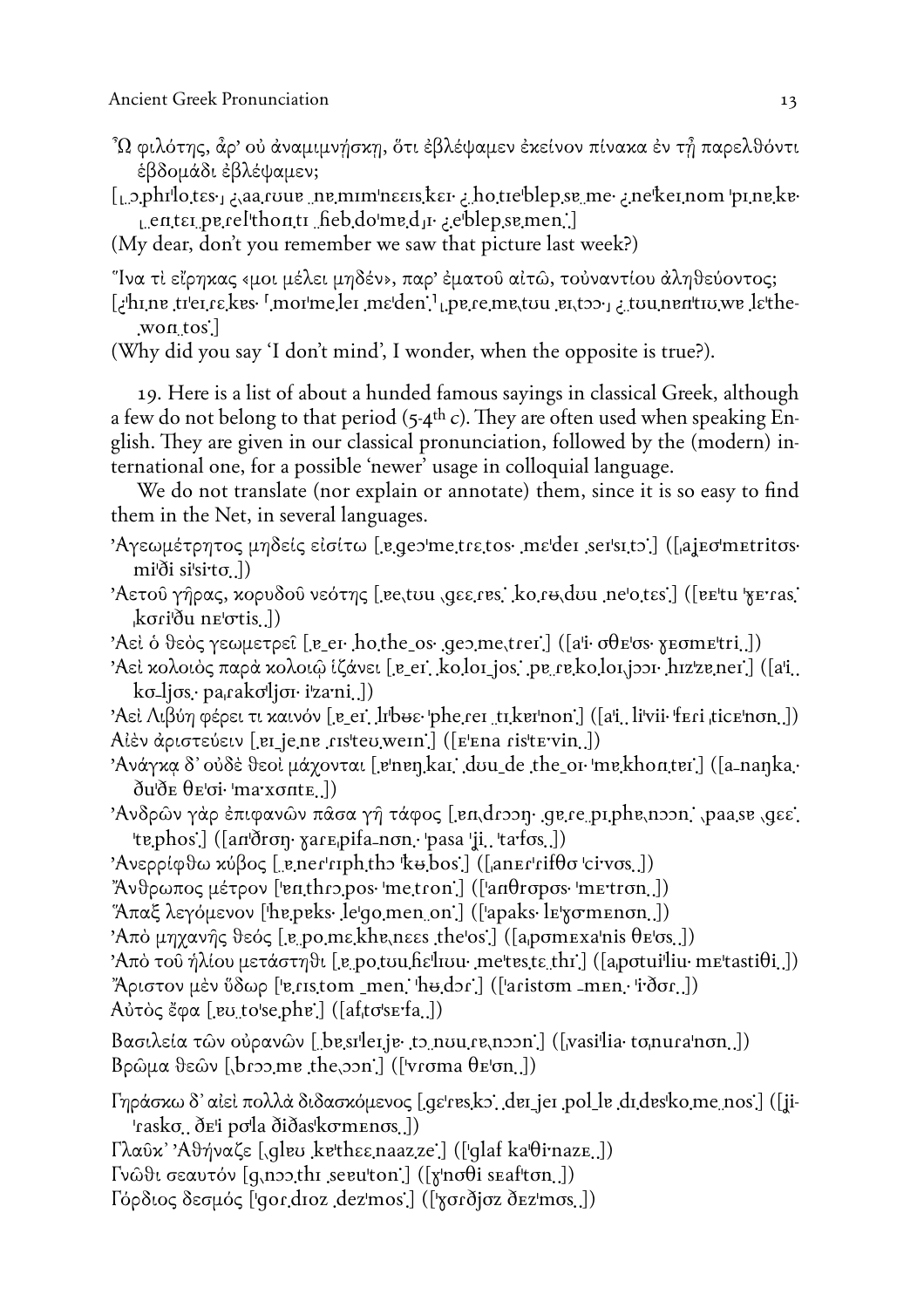$^2\Omega$  φιλότης, ἆρ' οὐ ἀναμιμνήσκη, ὅτι ἐβλέψαμεν ἐκείνον πίνακα ἐν τἦ παρελθόντι έβδομάδι έβλέψαμεν;

[prime], aa roue\_ne\_mim neers kerelotic blep se\_me . ne ker nom prime ker eblepsemen.] [.entɛɪ pɐ.relthontɪ heb.do med u.eblepsemen.]

(My dear, don't you remember we saw that picture last week?)

"Ίνα τὶ εἴρηκας «μοι μέλει μηδέν», παρ' ἐματοῦ αἰτῶ, τοὐναντίου ἀληθεύοντος;

tuunentuvwe lethe-[.won\_tos:

(Why did you say 'I don't mind', I wonder, when the opposite is true?).

19. Here is a list of about a hunded famous sayings in classical Greek, although a few do not belong to that period  $(5-4$ <sup>th</sup> c). They are often used when speaking English. They are given in our classical pronunciation, followed by the (modern) international one, for a possible 'newer' usage in colloquial language.

We do not translate (nor explain or annotate) them, since it is so easy to find them in the Net, in several languages.

'Αγεωμέτρητος μηδείς είσίτω [egeo'me.trε.tos· mε'der ser'si.to'] ([ajeo'metritos·  $\text{mi}$ di si'si'to.])

'Αετού γήρας, κορυδού νεότης [.ee.tou .qεε.res. ko.re.dou .ne'o.tes.] ([ee'tu 'γε ras.  $k \sigma i \delta u$  ne'otis...]

'Aεί ο θεός γεωμετρεί [.e\_eι. ho.the\_os. geo.me.trer.] ([a'i. σθε'σs. χεσmε'tri.])

Aεί κολοιός παρά κολοιώ ίζάνει [.e\_er. ko.lor\_jos. .pe\_re.ko.lor.jɔɔr· hɪzˈzɐ ner.] ([a'i..]  $k\sigma$ -lj $\sigma s$ . pa<sub>i</sub>rako<sup>l</sup>ljon i'zami

Aεί Λιβύη φέρει τι καινόν [ˌɐ\_eɪ] lɪbʉɛ· ˈpheˌɾeɪ ˌtɪˌkɐɪˈnon] ([aˈi] liˈvii· ˈfɛɾi ˌticɛˈnσn]) Aίέν άριστεύειν [ei\_je.ne .risteu.wein] ([E'Ena ristevin.])

'Ανάγκα δ' οὐδὲ θεοὶ μάχονται [ˌɐˈnɐŋˌkaɪ] dʊu\_de ˌthe\_oɪ· ˈmɐˌkhontɐɪ] ([a\_naŋka.·  $\delta u \delta E \theta E$ 'oi· 'maxonte

Άνδρων γάρ έπιφανών πάσα γή τάφος [en,droon.ge.re piphe,noon.jpaase, qεε. 'te.phos.] ([an'dron· xare.pifa-non.· 'pasa 'ji.. 'tarfos..])

'Ανερρίφθω κύβος [ e ner rph th k = bos] ( $\lceil$  an Er rifθσ civos.])

"Άνθρωπος μέτρον ['enthropos. 'metron'] (['anθropos. 'metron.])

 $\pi\alpha\xi$  λεγόμενον [he.peks. le<sup>{</sup>qo.men\_on] ([apaks. le} σmenon.])

'Από μηχανής θεός [e po mε khe nεες the os] ([a pome xanis θε σs.])

'Από του ήλίου μετάστηθι [e po tou hε<sup>1</sup>liou· me<sup>t</sup>tes te thi] ([a potuilliu· metastiθi]) "Άριστον μέν ὕδωρ ['v.ris.tom\_men. 'hu.dor'] (['aristom\_men. 'i'dor.])

 $A\dot{\nu}\tau\dot{\sigma}\zeta\ddot{\epsilon}\varphi\alpha$  [.ev. to'se phe'.] ([af<sub>i</sub>tσ's erfa..])

Bασιλεία των ούρανων [besiler.je.to.nuu.re.noon.] ([vasilia· to.nuranon.])  $\beta$ ρώμα θεών [broo.me the.oon] ([vroma θεση.])

Γηράσκω δ' αίει πολλά διδασκόμενος [.gε'res.ko', der\_jer.pol\_le\_dr.des'ko.me\_nos] ([ji-'rasko.. ðe'i po'la ðiðas'komenos..])

 $[\lambda \alpha \hat{v} \kappa$  'A $\vartheta \eta \nu \alpha \xi \epsilon$  [glev kethes naazze] ([glaf ka $\theta$ inaze])

Γνώθι σεαυτόν [q,noo,thi seruton] ([xnoθi seafton])

Γόρδιος δεσμός ['qor.droz.dez'mos.] (['χσrδίσz δεz'mos.])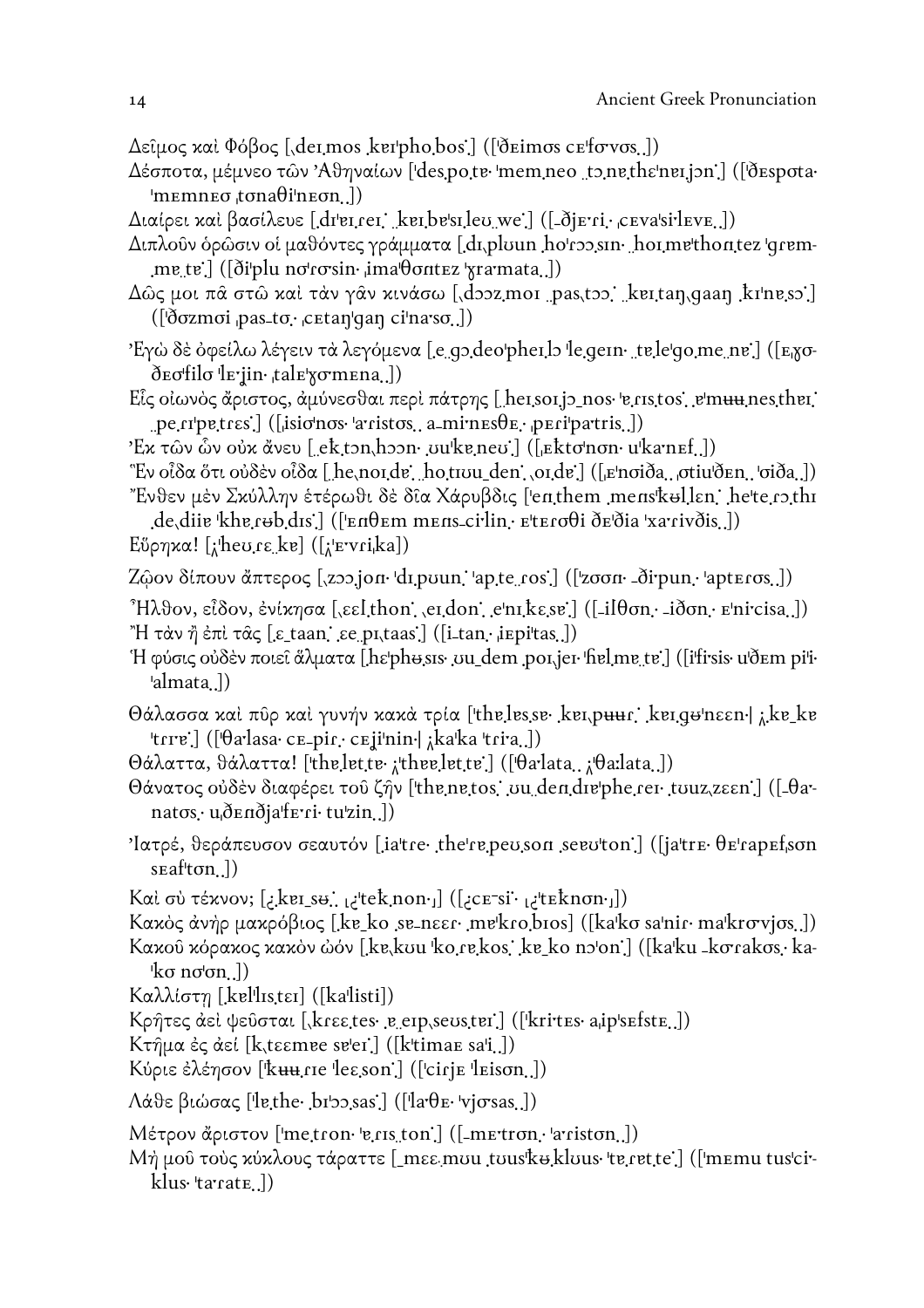Δεΐμος και Φόβος [dermos kerphobos] ([dermos cefovos]])

- Δέσποτα, μέμνεο των Αθηναίων ['des.po.te 'mem.neo to.ne.thε'ner.jon'] (['despota.  $\text{Imemneo}_i \text{tona} \theta \text{ineon}_i$
- Διαίρει και βασίλευε [dr'ei.rei keibe'sileu we'] ([-ðjEri. cEva'si'leve.])
- Διπλοῦν ὁρῶσιν οἱ μαθόντες γράμματα [dɪˌplʊun hoˈɾɔɔˌsɪn· hoɪˌmɐˈthontez ˈqɾɐmme\_te`] ([ðiˈplu nσˈɾσsin· ˌimaˈθσntɛz ˈɣra·mata.])
- Δῶς μοι πᾶ στῶ καὶ τὰν γᾶν κινάσω [*d*ɔɔz moɪ pas tɔɔ. kɐɪ tan gaan kɪˈnɐ sɔ.]
- Έγὼ δὲ ὀφείλω λέγειν τὰ λεγόμενα [.e.gɔ.deoˈpheɪ.lɔ ˈle.geɪn· ˌtɐ.leˈgo.meˌnɐ] ([E<sub>l</sub>goð e ofilo le jin·, tal e γ σ m e na ...])
- $E$ ίς οίωνὸς ἄριστος, ἀμύνεσθαι περὶ πάτρης [hersorjo\_nos·errstos] e'muu nesther] pe.ripe.trεs.] ([isionos· aristos.. a\_minesθε.· peripartris..])
- 'Ex τῶν ὧν οὐκ ἄνευ [ ektɔn hɔɔn vu kɐneʊ ] ([ Ekto non u kanef. ])
- "Εν οἶδα ὅτι οὐδὲν οἶδα [he,noɪdɐ] ho,tɪʊu\_den], oɪdɐ] ([Enσiða, σtiuðEn, ˈσiða]) "Ένθεν μέν Σκύλλην έτέρωθι δὲ δῖα Χάρυβδις ['enthem mens'kʉllɛn. he'te.rɔ.thɪ

de dii <sup>e</sup>khe reb dıs.] ([<sup>1</sup> επθεm mens ci<sup>,</sup>lin · ε teroθi δεδία 'xa rivðis..]) Eύρηκα! [; heu rε ke] ([; εντί ka])

- Zώον δίπουν άπτερος [zoo.jon·di.poun.jap.te.cos] ([zσση· δirpun.japteros.])
- $^3$ Ηλθον, εἶδον, ἐνίκησα [, εε[thon], er.don] eˈnɪ, kε sɐ] ([-ilθσn. -iðσn. Eˈni·cisa.]) "Η τὰν ἠ ἐπὶ τᾶς [ε taan, εe pι taas] ([i tan, i εpitas.])
- H φύσις ούδεν ποιεί άλματα [hε phe sis .uu\_dem poi jer fiel me te] (fifirsis u'ðem pi'i · 'almata 1)
- $\Theta$ άλασσα και πῦρ και γυνήν κακά τρία ['the.les.se· ker.puur. ker.ge'nεεn | ; ke\_ke 'tɾrɐ'.] ([ˈθa·lasa· cɛ\_piɾ.· cɛjiˈnin·| ¿kaˈka ˈtɾi·a. ])
- $\Theta$ άλαττα, θάλαττα! ['the.let.te· <sub>λ</sub>'thee.let.te'.] (['θa·lata.. <sub>λ</sub>'θaːlata..])
- $\Theta$ άνατος ούδεν διαφέρει του ζήν ['the netos' uu dendre'phe rer touz zεεn'] ([-θanatos.· u dendia ferri· tu zin...])
- 'lατρέ, θεράπευσον σεαυτόν [ia'tre· the're.peu.son seeu'ton.] ([ja'tre· θε'rapεf.son  $s$ Eaf<sup> $\left[\text{tan}\right]$ )</sup>
- Kαὶ σὺ τέκνον; [ ; kɐɪ\_sʉ., <sub>k</sub>·tek\_non· ]] ([ ; cɛ־si· <sub>k</sub>·teknon· ])
- Κακός άνήρ μακρόβιος [.ke\_ko .se\_nεει· mekro.bios] ([kako sa'nir· ma'krovjos..])

Κακοῦ κόρακος κακὸν ὡόν [ˌkɐˌkʊu ˈkoˌɾɐˌkosː ˈkɐ\_ko nɔˈon ] ([kaˈku -kσɾakσs.· ka- $\forall$ ko no $\sigma$ n...])

 $K\alpha\lambda\lambda i\sigma\tau\eta$  [kellistει] ([kallisti])

Kρήτες αεί ψεύσται [,krεεtes· e eip,seuster] ([krites· aip'sefste.])

Kτημα ές αεί [k, tεεmee se'er] ([ktimae sa'i.])

Κύριε έλέησον [kuu.rie les.son] ([cirje leison.])

Λάθε βιώσας [lethe· brbo.sas] ([larθε· vjσsas.])

 $M$ έτρον ἄριστον ['metron· 'e.ris.ton'.] ([-metron.· 'arriston..])

Μή μοῦ τοὺς κύκλους τάραττε [\_mɛɛ mʊu .tʊus'kʉ klʊus· 'tɐ ɾɐt.te'.] ([ˈmɛmu tusˈci·klus 'tarrate...])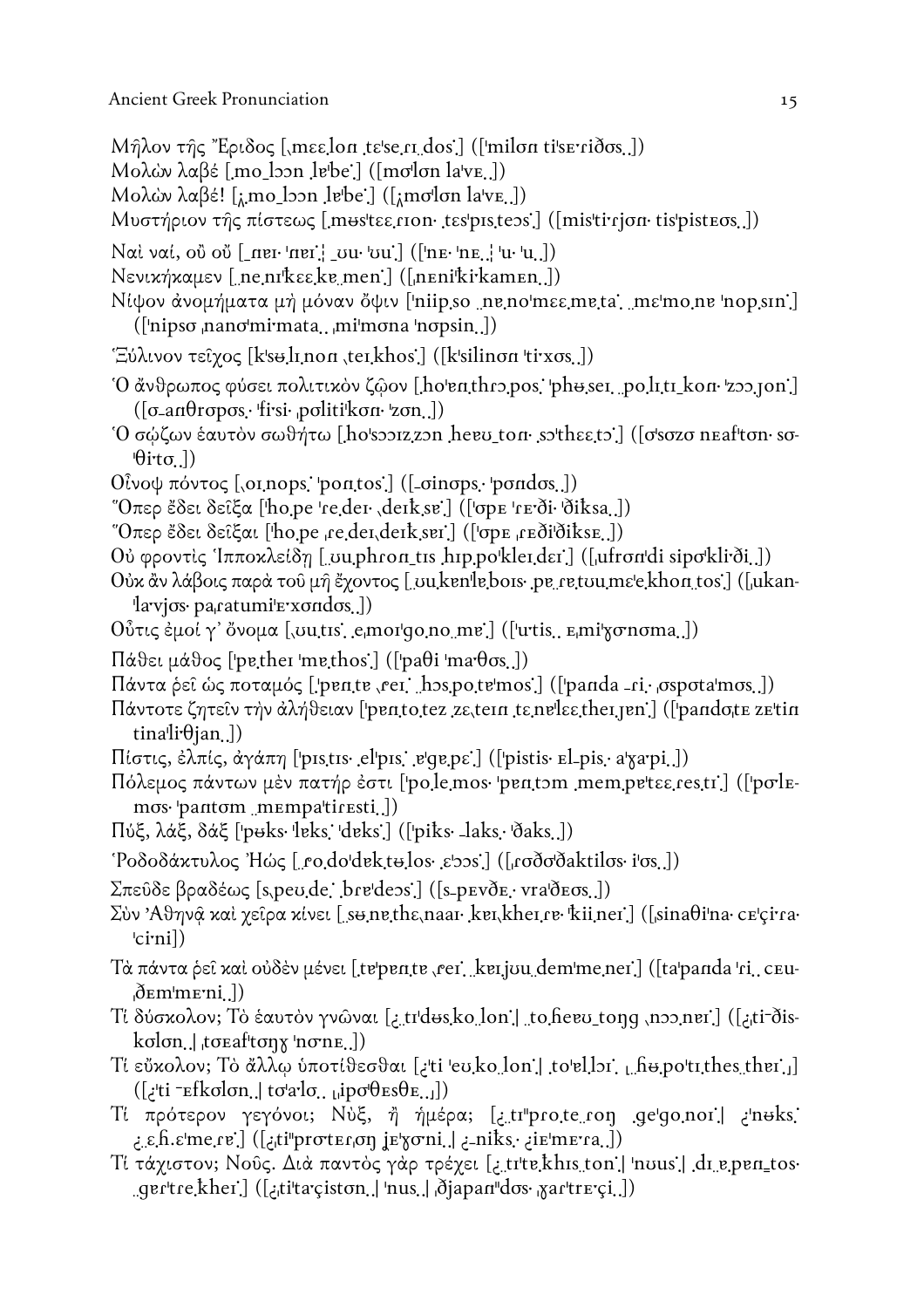- $M<sub>η</sub>λον της "Εριδος [, mεε.lon tε'se.ri dos.] (['milon ti's eriðos..])$
- Mολών λαβέ [mo\_loon lebe.] ([molon lave.])
- Mολών λαβέ! [*i*,mo\_loon lebe] ([*i*molon lave.])
- Μυστήριον της πίστεως [mestεε.rion tespistess] ([mistirion tispisteos.])
- $Nα$ ί ναί, οὖ οὖ  $[$ \_nɐι· 'nɐɪ' $]$  \_σu· 'σu' $]$  (['nɛ· 'nɛ..] 'u· 'u.])
- Νενικήκαμεν [ne.nrkεε, ke.men.] ([nenikirkamen.])
- Νίψον άνομήματα μή μόναν ὄψιν ['niipso neno'mεε meta, mε'mone 'nopsin.] (['nipso nano'mi'mata...mi'mona 'nopsin..])
- "Ξύλινον τείχος [k's+l1.non ,terkhos] ([k'silinon 'tixos.])
- Ό άνθρωπος φύσει πολιτικόν ζώον [ho enthropos 'pheser politi kon 'zoo jon']  $(\sigma$ -an $\theta$ ropos. firsi politikon zon.)
- Ό σώζων έαυτόν σωθήτω [ho'sooizzon hero ton. so'thεε to] (Jo'sozo neaf'ton. so- $\theta$ ito.])
- $0\hat{i}$ νοψ πόντος [,oi nops. 'pontos.] ([-oinops. 'pondos.])
- "Όπερ έδει δείξα [tho.pe 're.der , derk se'] (['σpE 'rE'δi· 'δiksa.])
- "Όπερ έδει δείξαι ['ho.pe ,re.der.derk.ser'] (['σpE ,rEði'ðiksE.])
- Ού φροντίς Ίπποκλείδη [ uuphron\_tis hip po'klerder] ([ufron'di sipo'kli'δi])
- Ούκ ἂν λάβοις παρά τοῦ μῆ ἔχοντος [ vu ken le bois pe retuu mε e khon tos ] ([ukanlavios· pa<sub>ratumi'e</sub> xondos..])
- $0$ ὖτις έμοί γ' ὄνομα [vutis, emorgo.no me.] ([urtis, εmi'χσησma.])
- $\Pi$ άθει μάθος ['pe,ther 'me,thos'] (['paθi 'ma θσs.])
- Πάντα ρεί ως ποταμός [.pen.te .rei .hos.po.te mos.] ([panda -ri. σspota mos.])
- Πάντοτε ζητεΐν την άλήθειαν ['pentotez zε tern tε nelse ther jen'] (['pandote ze'tin tinali: $\theta$ jan...])
- Πίστις, έλπίς, άγάπη ['pistis· el'pis' e'qupe'] (['pistis· El-pis· a'χarpi.])
- Πόλεμος πάντων μέν πατήρ έστι ['po.le.mos· 'pentom mem.pe'tεε.res.tr'] (['polemos·lpantom mempaltiresti...])
- Πύξ, λάξ, δάξ ['puks· 'leks: 'deks:] (['piks· \_laks. 'ðaks.])
- 'Ροδοδάκτυλος Ήώς [ ro.do'dektulos. ε'>>s.] ([ roðσ'δaktilos. i'os.])
- $\Sigma$ πεῦδε βραδέως [s,peu.de : bre'dess.] ([s\_pEvðE. vra'δEσs..])
- Σύν Αθηνά και γείρα κίνει [sunethε, naar ker, kher, re kiiner] ([sinaθi'na ce'cira.  $\lvert \text{cirnil} \rvert$
- Τὰ πάντα ρεί και ούδεν μένει [te pente rei keijou dem mener] ([ta panda 'ri cEu- $\delta$ <sub>E</sub>m'me'ni
- Tί δύσκολον; Το έαυτον γνώναι [; trdes,ko lon] to hero tong noo ner] ([; ti-dis $k$ olon...| to  $k$ af'to  $\gamma$  'norne...])
- Ti εύκολον; Τὸ ἄλλω ὑποτίθεσθαι [<sub>i</sub>'ti 'eu ko lon'] to'el lor. <sub>Li</sub> hu po'ti thes ther. ([ $\pm$ ti <sup>-</sup>Efkolon.] to<sup>'</sup>a<sup>-</sup>lo.  $\pm$ ipo' $\theta$ Es $\theta$ E..])
- Tί πρότερον γεγόνοι; Νύξ, ή ήμέρα; [i.tr'pro.te.ron .ge'go.noi.] insks. e.h. c'me.re'] ([.ti"proter.on je'xoni.] -niks. iE'mera.]).
- Τί τάχιστον; Νούς. Διά παντός γάρ τρέχει [¿.tr'te.khis.ton.] 'nous.] di e.pen\_tos. gertre.kher.] ([¿tita çiston..] 'nus..] ðjapan "dos· <sub>N</sub>artre çi..])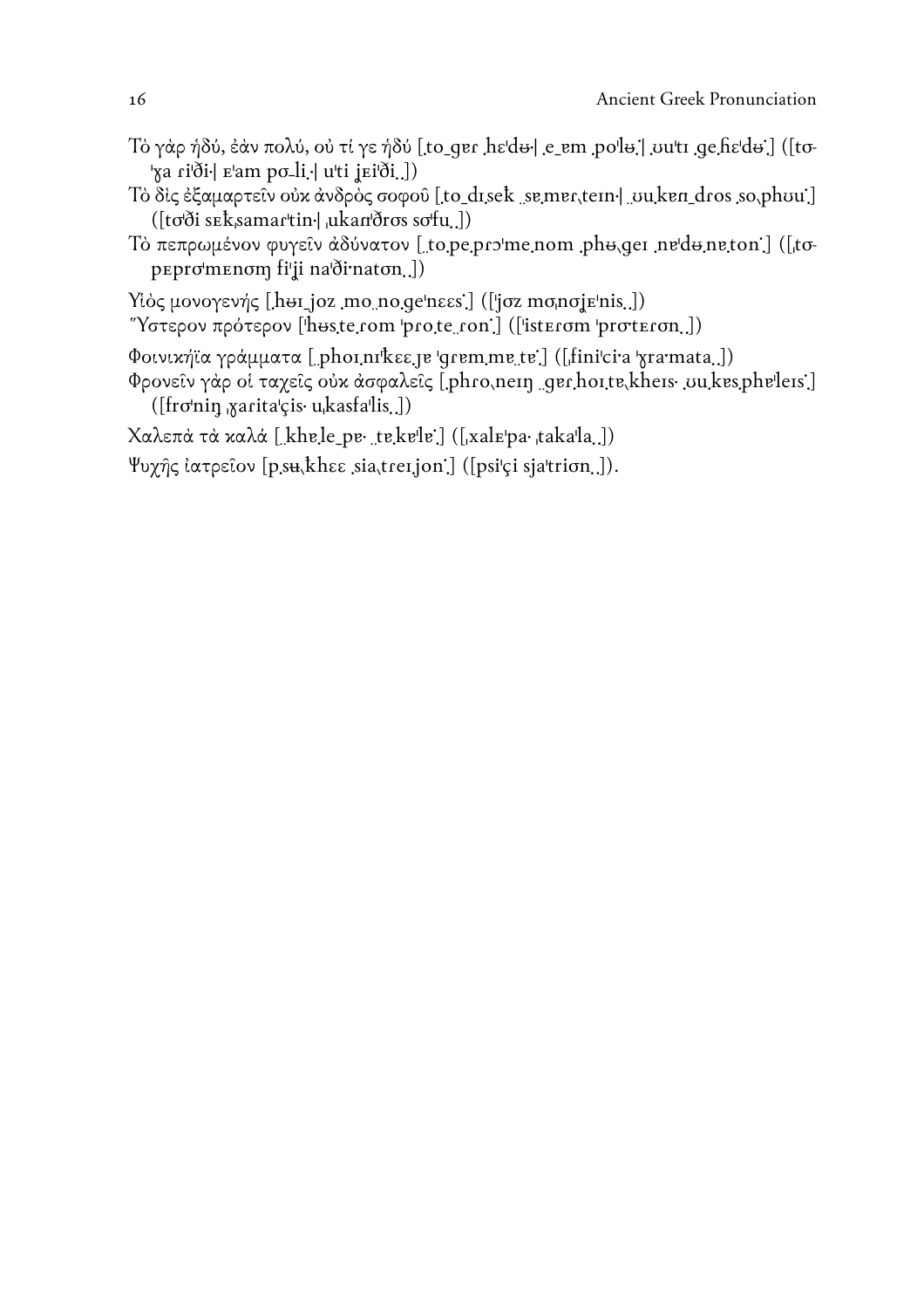- Τὸ γὰρ ήδύ, ἐάν πολύ, οὐ τί γε ήδύ [to\_qer hε'd+] e\_em po'l+] vu'ti qe hε'd+] ([to-'ya ri'ði r'am po-li · | u'ti jei'ði..])
- Τὸ δις ἐξαμαρτεῖν οὐκ ἀνδρὸς σοφοῦ [to disek semer, tem- uu ken dros so, phou] ([to'ði sEksamar'tin.] ukan'ðros so'fu.])
- Τό πεπρωμένον φυγείν άδύνατον [to.pe.pro'me.nom pho.ger ne'do.ne.ton] ([topepromenom filji na'dirnaton...])
- Υίὸς μονογενής [hui joz mo no qe'nεεs] (['jσz mo no je'nis.])
- "Υστερον πρότερον ['huste.rom 'pro.te.ron'] (['isterom 'proteron.])
- Φοινικήϊα γράμματα [phoinikεε je 'qremme te'] ([finicia 'xramata.])
- Φρονείν γάρ οί ταχείς ούκ άσφαλείς [.phro.nein .ger.hoite.kheis· uu kes.pheleis.] ([fro'nin xarita'çis· u<sub>i</sub>kasfa'lis.])

Χαλεπά τα καλά [khe,le\_pe. te,kele] ([xalEpa. takala.])

Ψυχής ιατρείον [p.su, khεε sia, treijon] ([psi'ci sja'trion.]).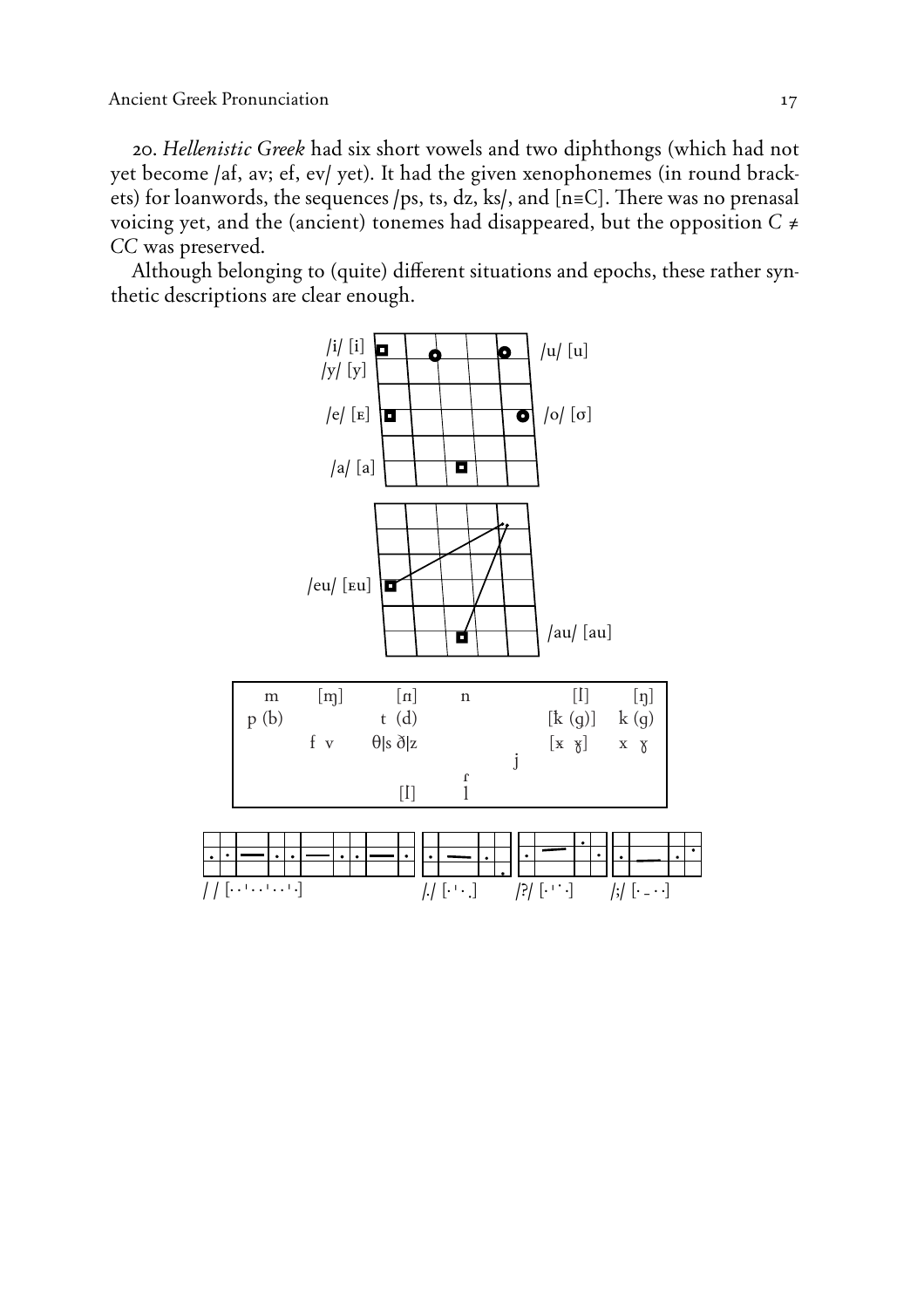20. *Hellenistic Greek* had six short vowels and two diphthongs (which had not yet become /af, av; ef, ev/ yet). It had the given xenophonemes (in round brackets) for loanwords, the sequences /ps, ts, dz, ks/, and [n=C]. There was no prenasal voicing yet, and the (ancient) tonemes had disappeared, but the opposition  $C \neq$ *CC* was preserved.

Although belonging to (quite) different situations and epochs, these rather synthetic descriptions are clear enough.

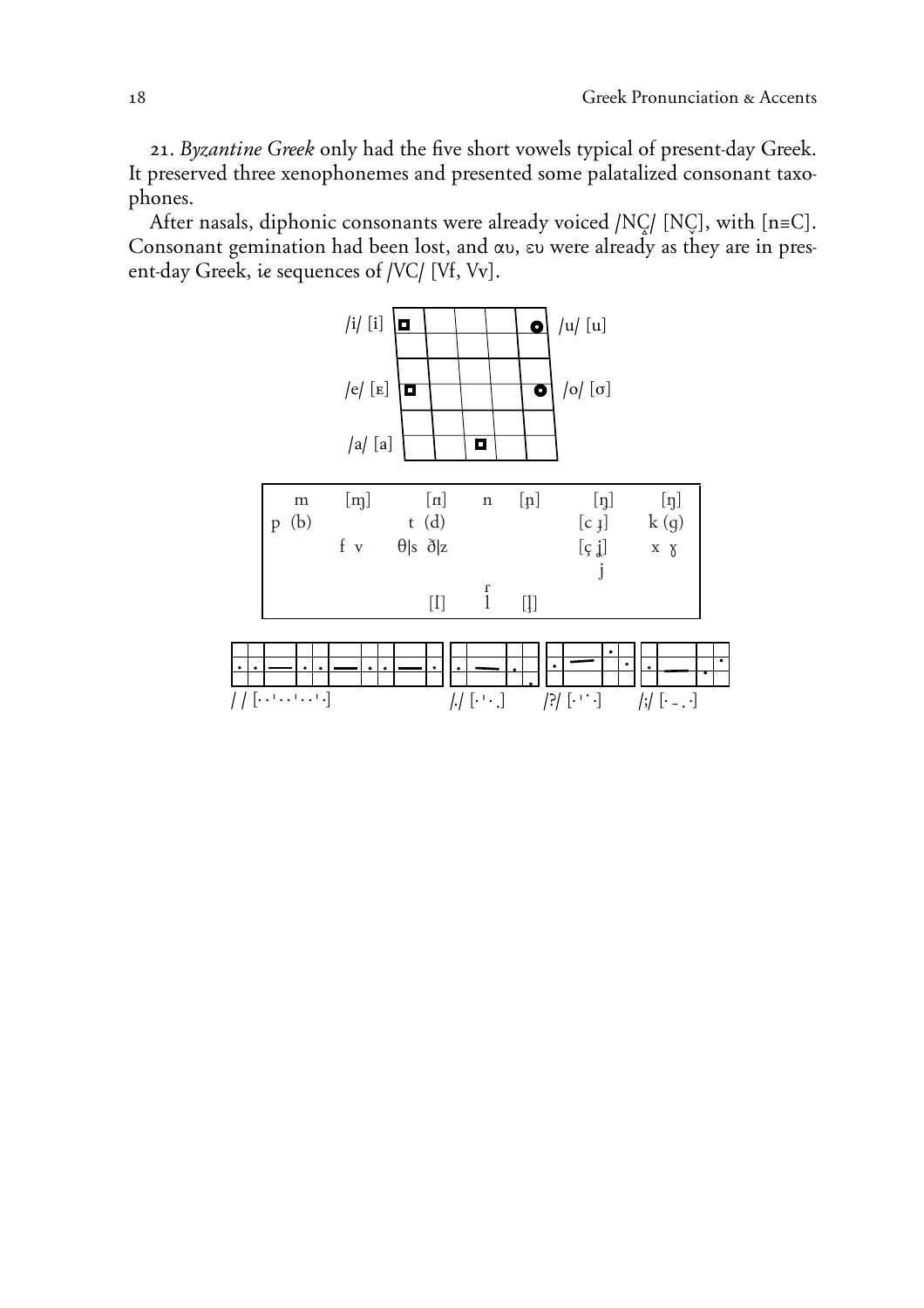21. *Byzantine Greek* only had the five short vowels typical of present-day Greek. It preserved three xenophonemes and presented some palatalized consonant taxophones.

After nasals, diphonic consonants were already voiced /NC/ [NC], with [n=C]. Consonant gemination had been lost, and  $\alpha v$ ,  $\varepsilon v$  were already as they are in present-day Greek, *¤* sequences of */é0/* **(***é***f,** *é***v)**.

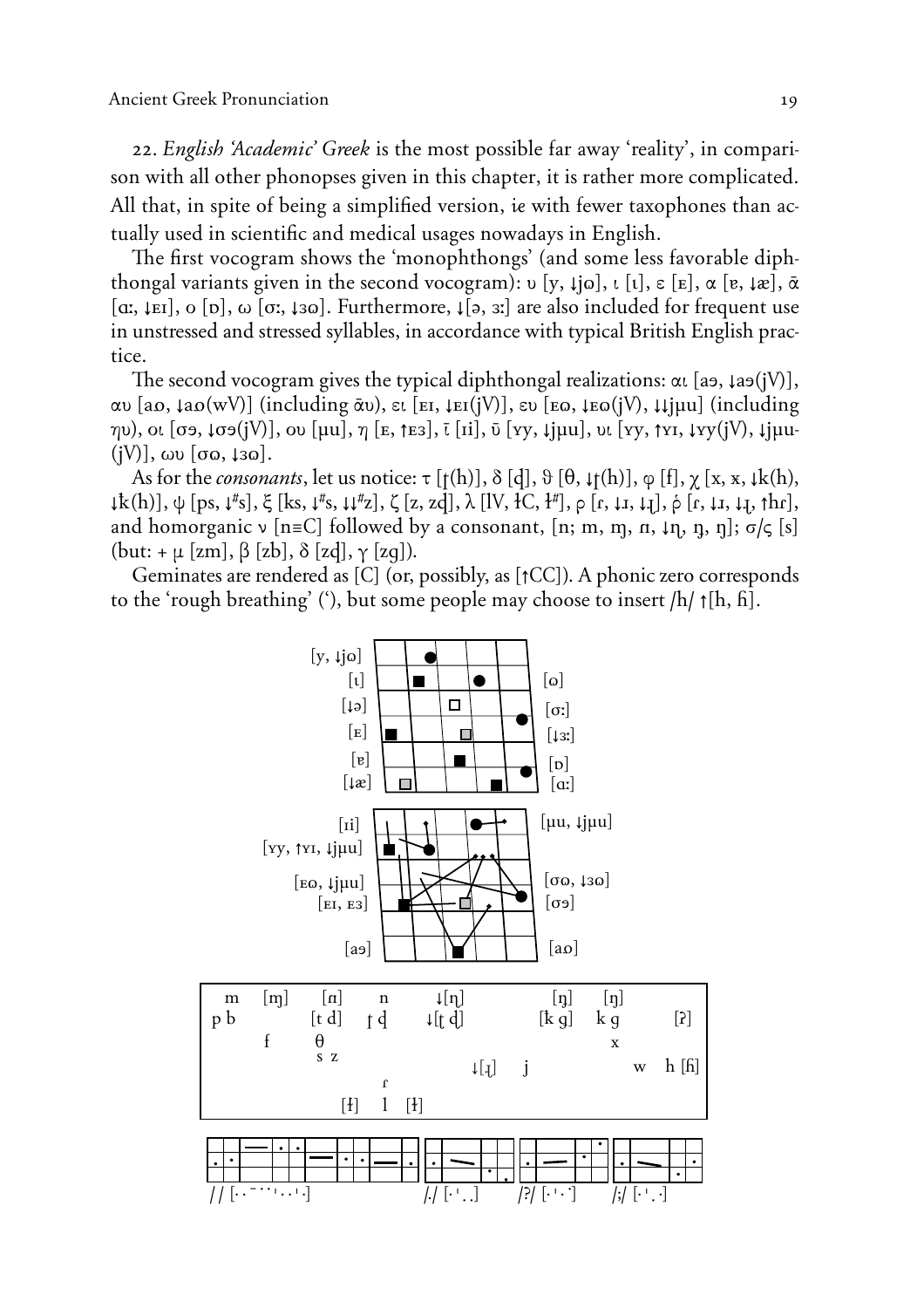22. *English 'Academic' Greek* is the most possible far away 'reality', in comparison with all other phonopses given in this chapter*, it is rather more complicated*. All that, in spite of being a simplified version, *ie* with fewer taxophones than ac*tually used in scientific and medical usages nowadays in English.*

The first vocogram shows the 'monophthongs' (and some less favorable diph*thongal variants given in the second vocogram):*  $\nu$  *[y,*  $\iota$  *[o],*  $\iota$  *[t],*  $\varepsilon$  *[E],*  $\alpha$  *[e,*  $\iota$  *æ],*  $\bar{\alpha}$  $[\alpha, \mu]$ ,  $[\alpha, \mu]$ ,  $[\alpha, \mu]$ ,  $[\alpha, \mu]$ . Furthermore,  $[\alpha, \mu]$  *are also included for frequent use in unstressed and stressed syllables, in accordance with typical British English practice.* 

The second vocogram gives the typical diphthongal realizations:  $\alpha$ ,  $[a_9, \mu_9(iV)]$ ,  $\alpha$ <sup>b</sup> [ao,  $\iota$ ao(wV)] (including  $\bar{\alpha}$ <sup>b</sup>),  $\epsilon$ <sup>r</sup> [EI,  $\iota$ EI(jV)],  $\epsilon$ <sup>b</sup> [EQ,  $\iota$ EQ(jV),  $\iota$  $\iota$  $\iota$ jµu] (including ηυ), οι [σэ, ↓σэ(jV)], ου [μu], η [ε, ↑εз], ī [ii], ῦ [ʏy, ↓jμu], υι [ʏy, ↑ʏɪ, ↓ʏy(jV), ↓jμu- $(jV)$ ,  $\omega v$   $[\sigma \omega, \tan z]$ .

*As for the consonants*, let us notice:  $\tau$  [ $\tau$ (h)],  $\delta$  [d],  $\theta$  [ $\theta$ ,  $\psi$ (h)],  $\phi$  [f],  $\chi$  [x, x,  $\psi$ k(h),  $\downarrow$ k(h)],  $\psi$  [ps,  $\downarrow$ <sup>#</sup>s],  $\xi$  [ks,  $\downarrow$ <sup>#</sup>s,  $\downarrow$   $\downarrow$ <sup>#</sup>z],  $\zeta$  [z, zd],  $\lambda$  [lV, łC, ł<sup>#</sup>],  $\rho$  [r,  $\downarrow$ <sub>1</sub>,  $\downarrow$ <sub>1</sub>],  $\delta$  [r,  $\downarrow$ <sub>1</sub>,  $\downarrow$ <sub>1</sub>,  $\uparrow$ hr], and homorganic  $\nu$  [n=C] followed by a consonant, [n; m, m, n,  $\nu$ n, n, n];  $\sigma/\varsigma$  [s]  $(\text{but:} + \mu \text{ [zm]}, \beta \text{ [zb]}, \delta \text{ [zd]}, \gamma \text{ [zq]}).$ 

Geminates are rendered as **(***0***)** (or, possibly, as **(±***00***)**). A phonic zero corresponds to the 'rough breathing' ('), but some people may choose to insert  $/h/ \uparrow [h, h]$ .

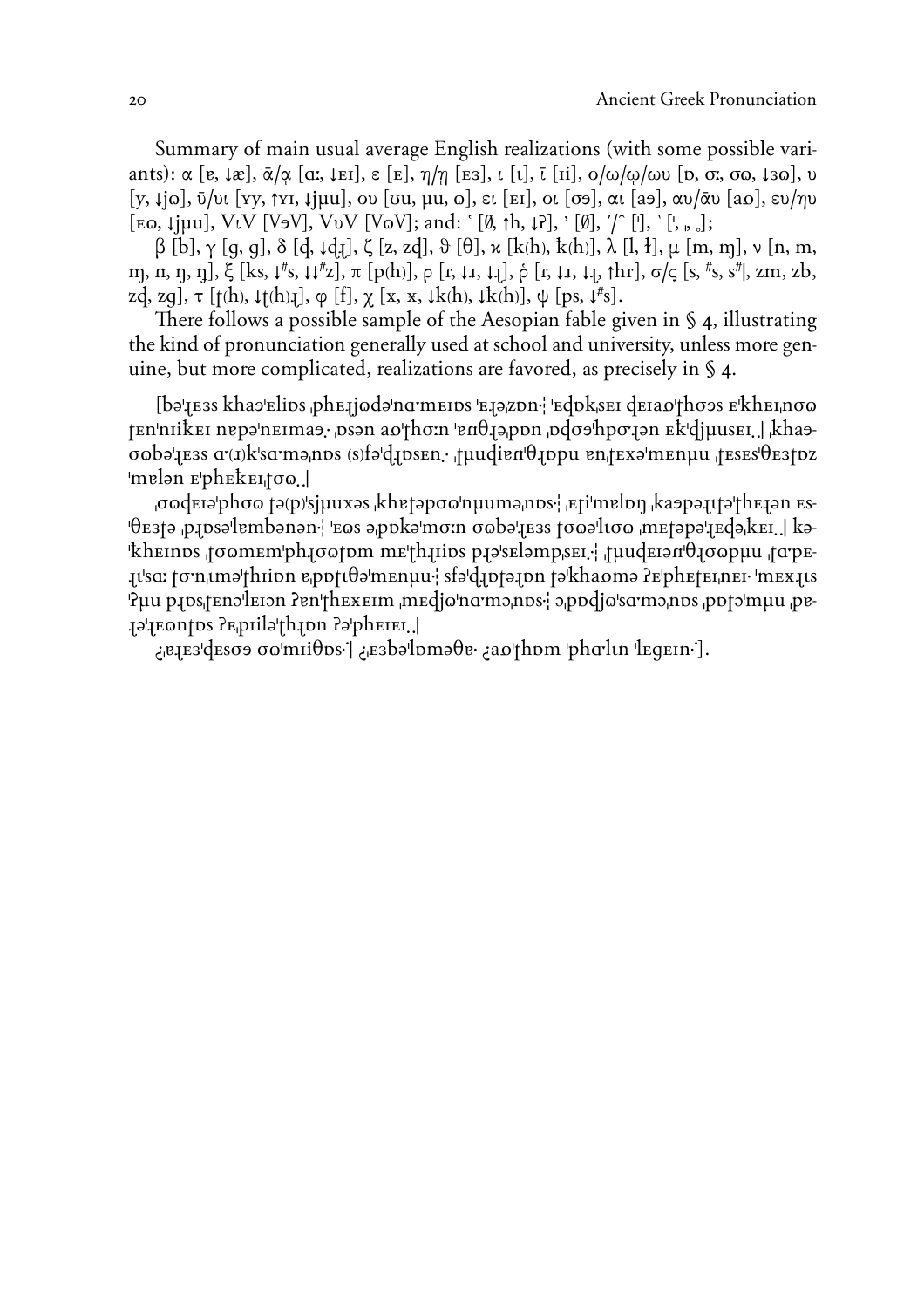Summary of main usual average English realizations (with some possible variants):  $\alpha$  [e,  $\mu$ a],  $\bar{\alpha}$ / $\alpha$  [a;,  $\mu$ EI],  $\varepsilon$  [E],  $\eta/\eta$  [E3],  $\iota$  [1],  $\bar{\iota}$  [ii],  $o/\omega/\omega$  $v$  [p,  $\sigma$ ;  $\sigma$  $\omega$ ,  $\mu$  $\alpha$ ],  $v$  $[y, \downarrow]$ jo,  $\bar{v}/\nu$ ,  $[y, \uparrow y, \downarrow]$ juu, ov  $[\nu u, \mu u, \nu]$ ,  $\varepsilon$ ,  $[\varepsilon x]$ , or  $[\sigma \sigma]$ ,  $\alpha \nu$ ,  $[\alpha \sigma]$ ,  $\alpha \nu / \bar{\alpha} \nu$   $[\alpha \sigma]$ ,  $\varepsilon \nu / \eta \nu$  $[\text{EQ}, \text{Ijuu}], \text{ViV}$  [V<sub>2</sub>V],  $\text{ViV}$  [V<sub>2</sub>V]; and:  $[\emptyset, \uparrow h, \downarrow]$ ],  $[\emptyset], \uparrow'$  ['],  $[\cdot], \cdot$  [', e, ...];

 $\beta$  [b],  $\gamma$  [q, q],  $\delta$  [d,  $\iota$ d<sub>1</sub>],  $\zeta$  [z, zd],  $\vartheta$  [ $\theta$ ],  $\varkappa$  [k(h), k(h)],  $\lambda$  [l, ł],  $\mu$  [m, m],  $\nu$  [n, m, m, n, n, n],  $\xi$  [ks,  $\downarrow$ <sup>#</sup>s,  $\downarrow$ <sup>#</sup>z],  $\pi$  [p(h)],  $\rho$  [r,  $\downarrow$  1,  $\downarrow$ <sub>1</sub>],  $\dot{\rho}$  [r,  $\downarrow$  1,  $\downarrow$ <sub>1</sub>, thr],  $\sigma$ / $\varsigma$  [s, <sup>#</sup>s, s<sup>#</sup>], zm, zb, zd, zg],  $\tau$  [t(h),  $\downarrow$ t(h) $\downarrow$ ],  $\varphi$  [f],  $\chi$  [x, x,  $\downarrow$ k(h),  $\downarrow$ k(h)],  $\psi$  [ps,  $\downarrow$ <sup>#</sup>s].

There follows a possible sample of the Aesopian fable given in  $\S$  4, illustrating the kind of pronunciation generally used at school and university, unless more genuine, but more complicated, realizations are favored, as precisely in § 4.

(b**È'>**e**'**s kha**Ù**'eli**Ø**s &phe**>**j**¨**d**È**'nå;meI**Ø**s 'e**>È&**z**Ø**n2\ '**™dØ**k&seI **d™IaÖ'thøÙ**s e'ºheI&n**ø¨**  $t$ En'nIikEI nepə'nEImaə; <sub>i</sub>psən a $\omega$ 'thσ:n 'enθ<sub>I</sub>ə<sub>l</sub>ppn <sub>i</sub>pdσə'hpσ: in Ek'djµusEI. | khaə**ø¨bÈ'>™'s A;***{***<***}*k'så;m**È&**n**Ø**s *{*s*}*f**È'Ã>Øs™n**32 &**t¯udiå**N'T**>Ø**pu **ån**&**t™**x**È**'men**¯**u &**t™s™s'†™'tØz** 'melən e'pheke<sub>I</sub>too.]

&**ø¨d™IÈ'phø¨ tÈ***{*p*}***'sj¯u**x**È**s &khA**tÈpø¨'n¯umÈ&nØs**2\ &e**ti'målØ˙ &kaÙpÈ>¤tÈ'th™>Èn ™s- '†™'tÈ &p>ØsÈ'låmbÈnÈn2\ '™¨s È&pØkÈ'mø:n ø¨bÈ'>™'s tø¨È'l¤ø¨ &m™tÈpÈ'>™dÈ&º™I3 3| kÈ- 'ºh™InØs &tø¨m™m'ph>ø¨tØm m™'˛h>IiØs p>È's™lÈmp&s™I32\ &t¯ud™IÈN'†>ø¨p¯u &tA;p™- >¤'sA: tø;n&¤mÈ'thIiØn å&pØt¤†È'm™n¯u2\ sfÈ'Ã>ØtÈ>Øn tÈ'khaÖmÈ ö™'ph™t™I&n™I2 'm™X>¤s Puu p10s/tenəletən ?en'thexetm ,medjo'na mənps-i ə podjo'sa mənps ,potə'muu ,pe-E**piila'thon depheier.

**¿&å>™''d™søÙ ø¨'mIi†Øs21| ¿&™'bÈ'lØmȆå2 ¿aÖ'thØm 'phA;l¤n 'l™Ÿ™In21).**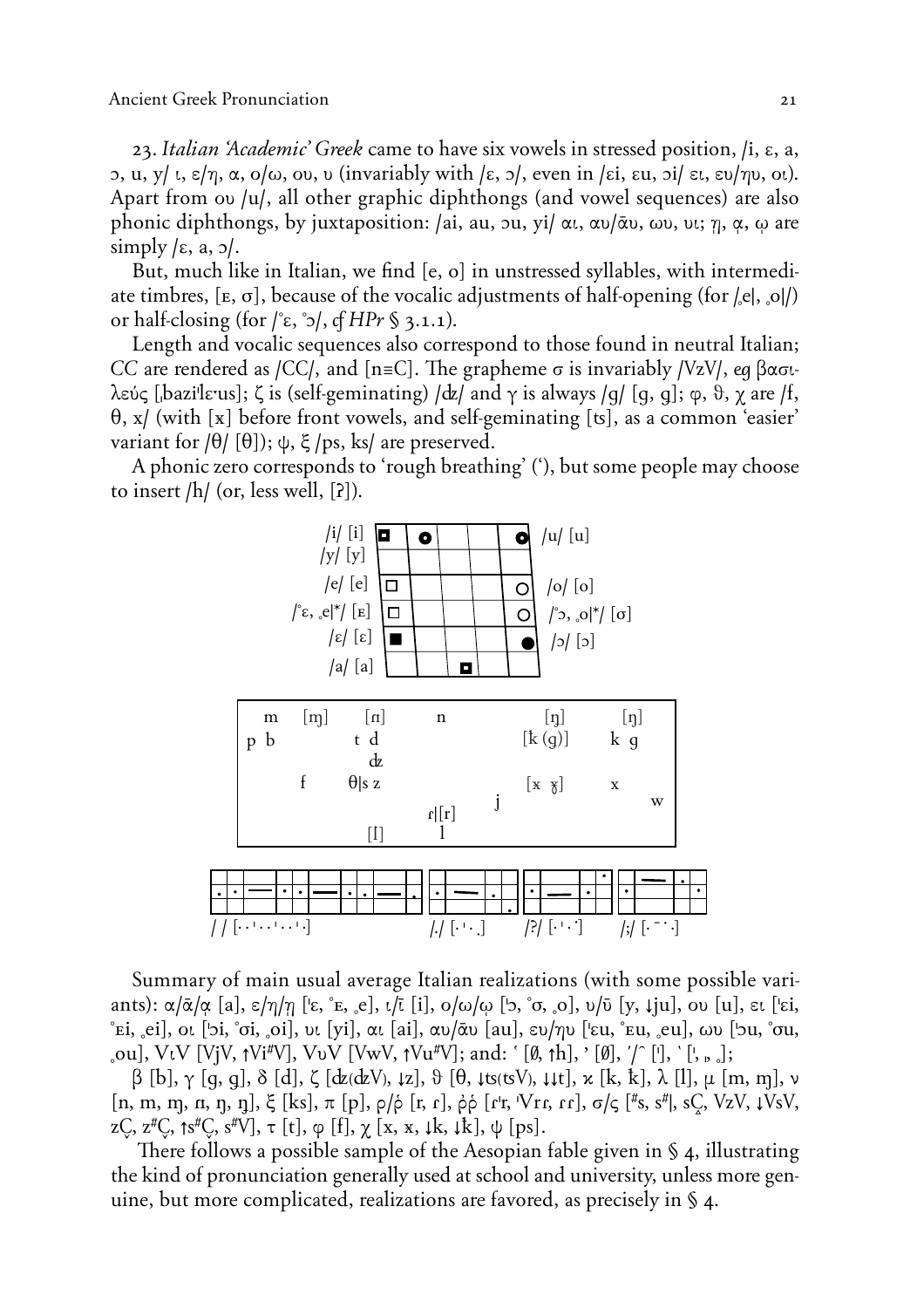23. *Italian 'Academic' Greek* came to have six vowels in stressed position, **/i, E, a, b**, **u**, **y l**, **ε**/η, α, **o**/ω, **ou**, **u** (invariably with  $\epsilon$ , **p**, even in  $\epsilon$ i, ε**u**,  $\delta$ i ει, ευ/ηυ, oι). Apart from ou **/u/**, all other graphic diphthongs (and vowel sequences) are also phonic diphthongs, by juxtaposition: /ai, au, ou, yi/ αι, αυ/αυ, ωυ, νι; η, α, ω are  $\text{simply } (\epsilon, a, \rho).$ 

But, much like in Italian, we find **(e, o)** in unstressed syllables, with intermediate timbres,  $[\mathbf{E}, \sigma]$ , because of the vocalic adjustments of half-opening (for  $|\mathbf{e}|$ ,  $|\mathbf{o}|$ ) or half-closing (for  $/\hat{\epsilon}$ ,  $\dot{\gamma}$ ), *of HPr* § 3.1.1).

Length and vocalic sequences also correspond to those found in neutral Italian; *CC* are rendered as */CC/*, and  $[n= C]$ . The grapheme  $\sigma$  is invariably */VzV/*, *eq*  $\beta \alpha \sigma$ *t*λεύς [bazi'leus]; ζ is (self-geminating)  $\frac{dz}{dt}$  and  $\gamma$  is always  $\frac{q}{q}$  [q, q];  $\varphi$ ,  $\vartheta$ ,  $\gamma$  are  $\varphi$ f, **†, x/** (with **(X)** before front vowels, and self-geminating **(q)**, as a common 'easier' variant for  $\theta$  [ $\theta$ ]);  $\psi$ ,  $\xi$  /ps, ks/ are preserved.

A phonic zero corresponds to 'rough breathing' ('), but some people may choose to insert **/h/** (or, less well, **(ö)**).



Summary of main usual average Italian realizations (with some possible variants):  $\alpha/\bar{\alpha}/\alpha$  [a],  $\epsilon/\eta/\eta$  ['ε, ° ε,  $\epsilon$ ],  $\iota/\bar{\iota}$  [i],  $o/\omega/\omega$  ['>, ° σ,  $o$ ],  $v/\bar{v}$  [y,  $\iota$ ju],  $o\nu$  [u], ει ['εi, **»ei, '™i),** oi **('Oi, »oi, 'øi),** ui **(ÿi),** ai **(ai),** au¤~u **(au),** eu¤hu **('Eu, »eu, '™u),** vu **('Ou, »ou,** .ou], VtV [VjV,  $\uparrow$ Vi<sup>#</sup>V], VvV [VwV,  $\uparrow$ Vu<sup>#</sup>V]; and: '[Ø,  $\uparrow$ h], '[Ø], '/' [<sup>1</sup>], '[', <sub>b o</sub>];

 $\beta$  [b],  $\gamma$  [q, q],  $\delta$  [d],  $\zeta$  [dz(dzV),  $\downarrow$ z],  $\vartheta$  [ $\theta$ ,  $\downarrow$ ts(tsV),  $\downarrow$ , $\downarrow$ t],  $\varkappa$  [k, k],  $\lambda$  [l],  $\mu$  [m, m],  $\nu$  $\left[ \text{n}, \text{m}, \text{m}, \text{n}, \text{n}, \text{n} \right]$ ,  $\xi$   $\left[ \text{ks} \right]$ ,  $\pi$   $\left[ \text{p} \right]$ ,  $\rho / \dot{\rho}$   $\left[ \text{r}, \text{r} \right]$ ,  $\dot{\rho} \dot{\rho}$   $\left[ \text{r} \text{r}, \text{V} \text{r} \text{r}, \text{r} \right]$ ,  $\sigma / \varsigma$   $\left[ \text{#s}, \text{s}^{\text{#l}} \right]$ ,  $\text{s} \text{C}$ ,  $\text{Vz} \text{V}$  $Z\overline{C}$ ,  $Z^{\sharp}C$ ,  $\uparrow$ s<sup> $\sharp$ </sup> $C$ ,  $S^{\sharp}V$ ,  $\uparrow$  [t],  $\phi$  [f],  $\chi$  [x, x,  $\downarrow$ k,  $\downarrow$ k],  $\psi$  [ps].

There follows a possible sample of the Aesopian fable given in  $\S$  4, illustrating the kind of pronunciation generally used at school and university, unless more genuine, but more complicated, realizations are favored, as precisely in § 4.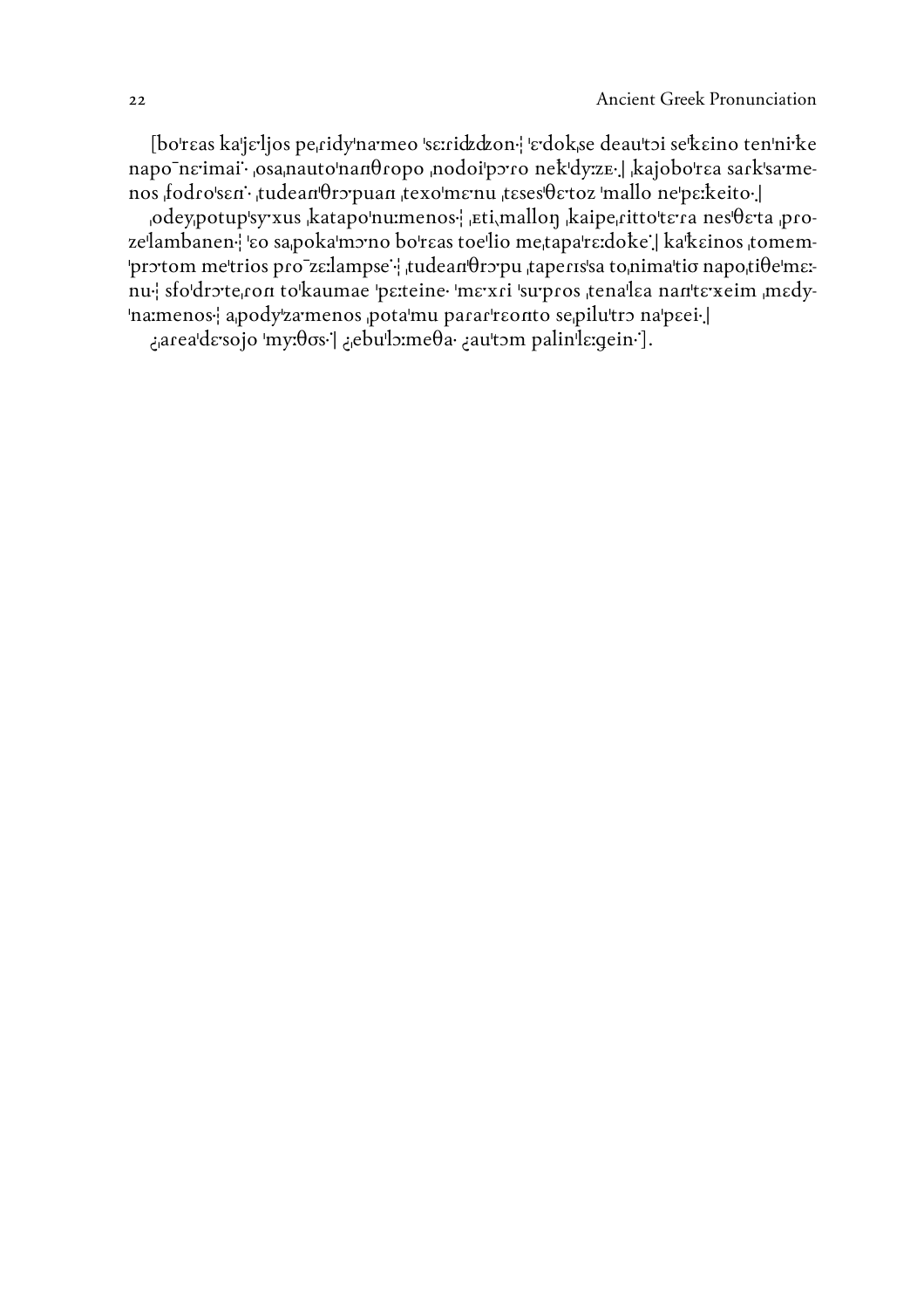[bo'reas ka'je'ljos pe cidy'na meo 'seridzdzon' 'edokse deau'toi se'keino ten'ni ke napo neimai· osanauto nandropo nodoi poro nek dyze. kajobo rea sark samenos fodro'sen· tudean'Oropuan texo'menu teses'Oetoz 'mallo ne'perkeito.

odey,potup'sy xus katapo'numenos. Eti,mallon kaipe,ritto'tera nes'oeta prozelambanen l'eo sapoka'mono bo'reas toelio metapa're:doke l ka'keinos tomem-'protom metrios pro zεrlampse : tudean θropu taperis's a to nimatio napotiθe'mε:nu sfo'drote ron to'kaumae 'perteine 'mexri 'surpros tenalea nan'texeim medy-'na:menos: apody'za menos pota'mu parar'reonto sepilu'tro na'peei. ¿area'de sojo 'my:00s·'| ¿ebu'lo:me0a· ¿au'tom palin'le:gein·'].